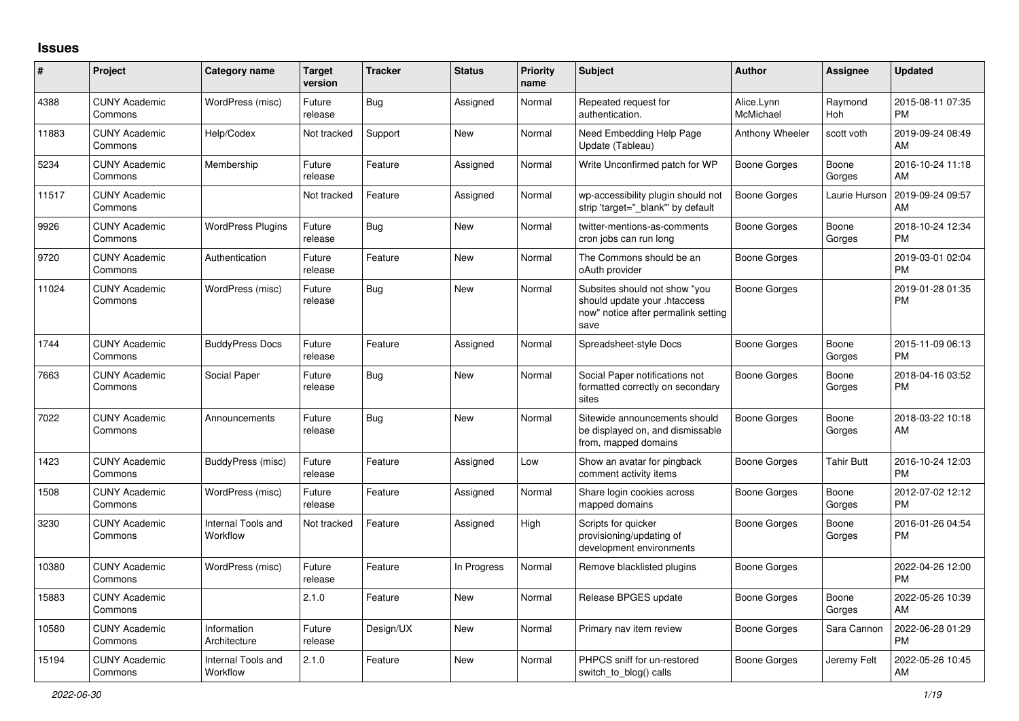## **Issues**

| #     | Project                         | <b>Category name</b>           | <b>Target</b><br>version | <b>Tracker</b> | <b>Status</b> | <b>Priority</b><br>name | <b>Subject</b>                                                                                               | <b>Author</b>           | Assignee          | <b>Updated</b>                |
|-------|---------------------------------|--------------------------------|--------------------------|----------------|---------------|-------------------------|--------------------------------------------------------------------------------------------------------------|-------------------------|-------------------|-------------------------------|
| 4388  | <b>CUNY Academic</b><br>Commons | WordPress (misc)               | Future<br>release        | Bug            | Assigned      | Normal                  | Repeated request for<br>authentication.                                                                      | Alice.Lynn<br>McMichael | Raymond<br>Hoh    | 2015-08-11 07:35<br><b>PM</b> |
| 11883 | <b>CUNY Academic</b><br>Commons | Help/Codex                     | Not tracked              | Support        | New           | Normal                  | Need Embedding Help Page<br>Update (Tableau)                                                                 | Anthony Wheeler         | scott voth        | 2019-09-24 08:49<br>AM        |
| 5234  | <b>CUNY Academic</b><br>Commons | Membership                     | Future<br>release        | Feature        | Assigned      | Normal                  | Write Unconfirmed patch for WP                                                                               | Boone Gorges            | Boone<br>Gorges   | 2016-10-24 11:18<br>AM        |
| 11517 | <b>CUNY Academic</b><br>Commons |                                | Not tracked              | Feature        | Assigned      | Normal                  | wp-accessibility plugin should not<br>strip 'target=" blank" by default                                      | Boone Gorges            | Laurie Hurson     | 2019-09-24 09:57<br>AM        |
| 9926  | <b>CUNY Academic</b><br>Commons | <b>WordPress Plugins</b>       | Future<br>release        | Bug            | New           | Normal                  | twitter-mentions-as-comments<br>cron jobs can run long                                                       | Boone Gorges            | Boone<br>Gorges   | 2018-10-24 12:34<br><b>PM</b> |
| 9720  | <b>CUNY Academic</b><br>Commons | Authentication                 | Future<br>release        | Feature        | New           | Normal                  | The Commons should be an<br>oAuth provider                                                                   | Boone Gorges            |                   | 2019-03-01 02:04<br><b>PM</b> |
| 11024 | <b>CUNY Academic</b><br>Commons | WordPress (misc)               | Future<br>release        | Bug            | New           | Normal                  | Subsites should not show "you<br>should update your .htaccess<br>now" notice after permalink setting<br>save | Boone Gorges            |                   | 2019-01-28 01:35<br><b>PM</b> |
| 1744  | <b>CUNY Academic</b><br>Commons | <b>BuddyPress Docs</b>         | Future<br>release        | Feature        | Assigned      | Normal                  | Spreadsheet-style Docs                                                                                       | Boone Gorges            | Boone<br>Gorges   | 2015-11-09 06:13<br><b>PM</b> |
| 7663  | <b>CUNY Academic</b><br>Commons | Social Paper                   | Future<br>release        | Bug            | New           | Normal                  | Social Paper notifications not<br>formatted correctly on secondary<br>sites                                  | Boone Gorges            | Boone<br>Gorges   | 2018-04-16 03:52<br><b>PM</b> |
| 7022  | <b>CUNY Academic</b><br>Commons | Announcements                  | Future<br>release        | Bug            | <b>New</b>    | Normal                  | Sitewide announcements should<br>be displayed on, and dismissable<br>from, mapped domains                    | Boone Gorges            | Boone<br>Gorges   | 2018-03-22 10:18<br>AM        |
| 1423  | <b>CUNY Academic</b><br>Commons | BuddyPress (misc)              | Future<br>release        | Feature        | Assigned      | Low                     | Show an avatar for pingback<br>comment activity items                                                        | Boone Gorges            | <b>Tahir Butt</b> | 2016-10-24 12:03<br><b>PM</b> |
| 1508  | <b>CUNY Academic</b><br>Commons | WordPress (misc)               | Future<br>release        | Feature        | Assigned      | Normal                  | Share login cookies across<br>mapped domains                                                                 | Boone Gorges            | Boone<br>Gorges   | 2012-07-02 12:12<br><b>PM</b> |
| 3230  | <b>CUNY Academic</b><br>Commons | Internal Tools and<br>Workflow | Not tracked              | Feature        | Assigned      | High                    | Scripts for quicker<br>provisioning/updating of<br>development environments                                  | Boone Gorges            | Boone<br>Gorges   | 2016-01-26 04:54<br><b>PM</b> |
| 10380 | <b>CUNY Academic</b><br>Commons | WordPress (misc)               | Future<br>release        | Feature        | In Progress   | Normal                  | Remove blacklisted plugins                                                                                   | Boone Gorges            |                   | 2022-04-26 12:00<br><b>PM</b> |
| 15883 | <b>CUNY Academic</b><br>Commons |                                | 2.1.0                    | Feature        | <b>New</b>    | Normal                  | Release BPGES update                                                                                         | <b>Boone Gorges</b>     | Boone<br>Gorges   | 2022-05-26 10:39<br>AM        |
| 10580 | <b>CUNY Academic</b><br>Commons | Information<br>Architecture    | Future<br>release        | Design/UX      | <b>New</b>    | Normal                  | Primary nav item review                                                                                      | Boone Gorges            | Sara Cannon       | 2022-06-28 01:29<br><b>PM</b> |
| 15194 | <b>CUNY Academic</b><br>Commons | Internal Tools and<br>Workflow | 2.1.0                    | Feature        | <b>New</b>    | Normal                  | PHPCS sniff for un-restored<br>switch_to_blog() calls                                                        | Boone Gorges            | Jeremy Felt       | 2022-05-26 10:45<br>AM        |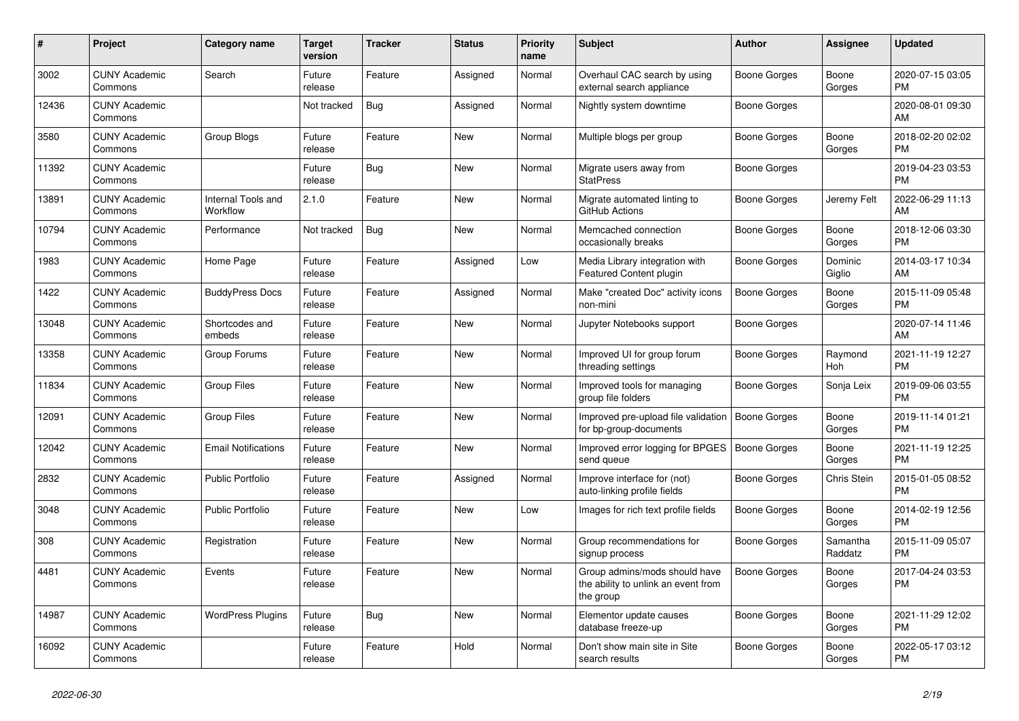| #     | <b>Project</b>                  | Category name                  | <b>Target</b><br>version | <b>Tracker</b> | <b>Status</b> | <b>Priority</b><br>name | <b>Subject</b>                                                                    | <b>Author</b> | Assignee            | <b>Updated</b>                |
|-------|---------------------------------|--------------------------------|--------------------------|----------------|---------------|-------------------------|-----------------------------------------------------------------------------------|---------------|---------------------|-------------------------------|
| 3002  | <b>CUNY Academic</b><br>Commons | Search                         | Future<br>release        | Feature        | Assigned      | Normal                  | Overhaul CAC search by using<br>external search appliance                         | Boone Gorges  | Boone<br>Gorges     | 2020-07-15 03:05<br><b>PM</b> |
| 12436 | <b>CUNY Academic</b><br>Commons |                                | Not tracked              | <b>Bug</b>     | Assigned      | Normal                  | Nightly system downtime                                                           | Boone Gorges  |                     | 2020-08-01 09:30<br>AM        |
| 3580  | <b>CUNY Academic</b><br>Commons | Group Blogs                    | Future<br>release        | Feature        | <b>New</b>    | Normal                  | Multiple blogs per group                                                          | Boone Gorges  | Boone<br>Gorges     | 2018-02-20 02:02<br><b>PM</b> |
| 11392 | <b>CUNY Academic</b><br>Commons |                                | Future<br>release        | Bug            | <b>New</b>    | Normal                  | Migrate users away from<br><b>StatPress</b>                                       | Boone Gorges  |                     | 2019-04-23 03:53<br><b>PM</b> |
| 13891 | <b>CUNY Academic</b><br>Commons | Internal Tools and<br>Workflow | 2.1.0                    | Feature        | New           | Normal                  | Migrate automated linting to<br>GitHub Actions                                    | Boone Gorges  | Jeremy Felt         | 2022-06-29 11:13<br>AM        |
| 10794 | <b>CUNY Academic</b><br>Commons | Performance                    | Not tracked              | Bug            | New           | Normal                  | Memcached connection<br>occasionally breaks                                       | Boone Gorges  | Boone<br>Gorges     | 2018-12-06 03:30<br><b>PM</b> |
| 1983  | <b>CUNY Academic</b><br>Commons | Home Page                      | Future<br>release        | Feature        | Assigned      | Low                     | Media Library integration with<br>Featured Content plugin                         | Boone Gorges  | Dominic<br>Giglio   | 2014-03-17 10:34<br>AM        |
| 1422  | <b>CUNY Academic</b><br>Commons | <b>BuddyPress Docs</b>         | Future<br>release        | Feature        | Assigned      | Normal                  | Make "created Doc" activity icons<br>non-mini                                     | Boone Gorges  | Boone<br>Gorges     | 2015-11-09 05:48<br><b>PM</b> |
| 13048 | <b>CUNY Academic</b><br>Commons | Shortcodes and<br>embeds       | Future<br>release        | Feature        | New           | Normal                  | Jupyter Notebooks support                                                         | Boone Gorges  |                     | 2020-07-14 11:46<br>AM        |
| 13358 | <b>CUNY Academic</b><br>Commons | Group Forums                   | Future<br>release        | Feature        | <b>New</b>    | Normal                  | Improved UI for group forum<br>threading settings                                 | Boone Gorges  | Raymond<br>Hoh      | 2021-11-19 12:27<br><b>PM</b> |
| 11834 | <b>CUNY Academic</b><br>Commons | <b>Group Files</b>             | Future<br>release        | Feature        | New           | Normal                  | Improved tools for managing<br>group file folders                                 | Boone Gorges  | Sonja Leix          | 2019-09-06 03:55<br><b>PM</b> |
| 12091 | <b>CUNY Academic</b><br>Commons | <b>Group Files</b>             | Future<br>release        | Feature        | New           | Normal                  | Improved pre-upload file validation<br>for bp-group-documents                     | Boone Gorges  | Boone<br>Gorges     | 2019-11-14 01:21<br><b>PM</b> |
| 12042 | <b>CUNY Academic</b><br>Commons | <b>Email Notifications</b>     | Future<br>release        | Feature        | <b>New</b>    | Normal                  | Improved error logging for BPGES<br>send queue                                    | Boone Gorges  | Boone<br>Gorges     | 2021-11-19 12:25<br><b>PM</b> |
| 2832  | <b>CUNY Academic</b><br>Commons | Public Portfolio               | Future<br>release        | Feature        | Assigned      | Normal                  | Improve interface for (not)<br>auto-linking profile fields                        | Boone Gorges  | Chris Stein         | 2015-01-05 08:52<br><b>PM</b> |
| 3048  | <b>CUNY Academic</b><br>Commons | <b>Public Portfolio</b>        | Future<br>release        | Feature        | New           | Low                     | Images for rich text profile fields                                               | Boone Gorges  | Boone<br>Gorges     | 2014-02-19 12:56<br><b>PM</b> |
| 308   | <b>CUNY Academic</b><br>Commons | Registration                   | Future<br>release        | Feature        | <b>New</b>    | Normal                  | Group recommendations for<br>signup process                                       | Boone Gorges  | Samantha<br>Raddatz | 2015-11-09 05:07<br><b>PM</b> |
| 4481  | <b>CUNY Academic</b><br>Commons | Events                         | Future<br>release        | Feature        | New           | Normal                  | Group admins/mods should have<br>the ability to unlink an event from<br>the group | Boone Gorges  | Boone<br>Gorges     | 2017-04-24 03:53<br><b>PM</b> |
| 14987 | <b>CUNY Academic</b><br>Commons | <b>WordPress Plugins</b>       | Future<br>release        | Bug            | <b>New</b>    | Normal                  | Elementor update causes<br>database freeze-up                                     | Boone Gorges  | Boone<br>Gorges     | 2021-11-29 12:02<br><b>PM</b> |
| 16092 | <b>CUNY Academic</b><br>Commons |                                | Future<br>release        | Feature        | Hold          | Normal                  | Don't show main site in Site<br>search results                                    | Boone Gorges  | Boone<br>Gorges     | 2022-05-17 03:12<br><b>PM</b> |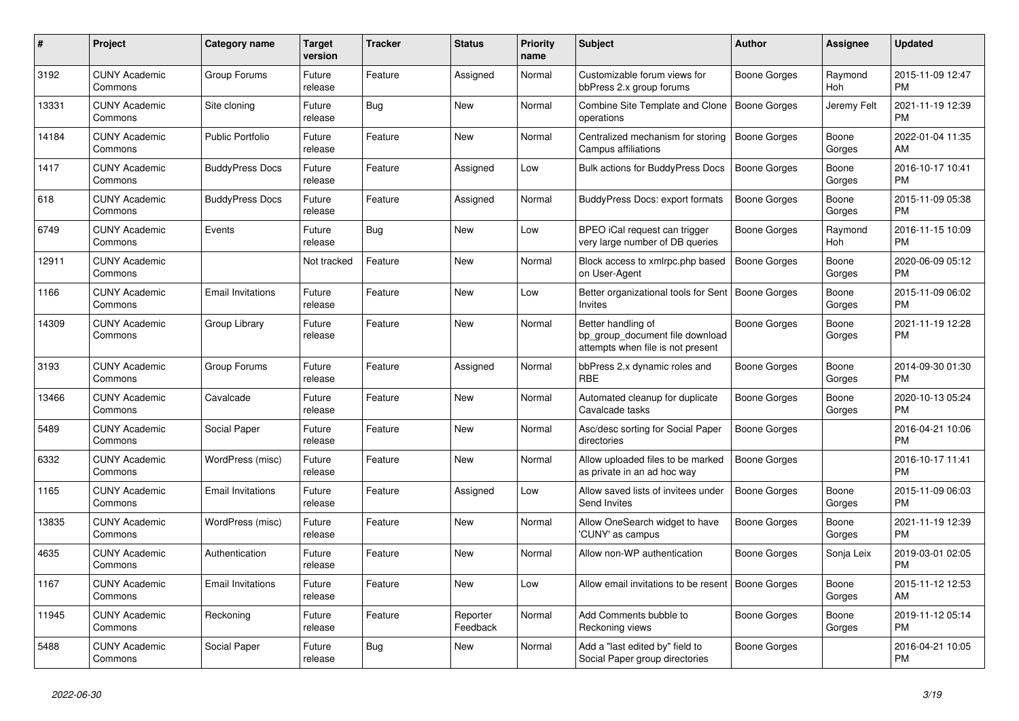| #     | <b>Project</b>                  | Category name            | Target<br>version | <b>Tracker</b> | <b>Status</b>        | <b>Priority</b><br>name | <b>Subject</b>                                                                             | <b>Author</b>       | Assignee        | <b>Updated</b>                |
|-------|---------------------------------|--------------------------|-------------------|----------------|----------------------|-------------------------|--------------------------------------------------------------------------------------------|---------------------|-----------------|-------------------------------|
| 3192  | <b>CUNY Academic</b><br>Commons | Group Forums             | Future<br>release | Feature        | Assigned             | Normal                  | Customizable forum views for<br>bbPress 2.x group forums                                   | Boone Gorges        | Raymond<br>Hoh  | 2015-11-09 12:47<br><b>PM</b> |
| 13331 | <b>CUNY Academic</b><br>Commons | Site cloning             | Future<br>release | Bug            | New                  | Normal                  | Combine Site Template and Clone<br>operations                                              | <b>Boone Gorges</b> | Jeremy Felt     | 2021-11-19 12:39<br><b>PM</b> |
| 14184 | <b>CUNY Academic</b><br>Commons | <b>Public Portfolio</b>  | Future<br>release | Feature        | <b>New</b>           | Normal                  | Centralized mechanism for storing<br>Campus affiliations                                   | Boone Gorges        | Boone<br>Gorges | 2022-01-04 11:35<br><b>AM</b> |
| 1417  | <b>CUNY Academic</b><br>Commons | <b>BuddyPress Docs</b>   | Future<br>release | Feature        | Assigned             | Low                     | <b>Bulk actions for BuddyPress Docs</b>                                                    | <b>Boone Gorges</b> | Boone<br>Gorges | 2016-10-17 10:41<br><b>PM</b> |
| 618   | <b>CUNY Academic</b><br>Commons | <b>BuddyPress Docs</b>   | Future<br>release | Feature        | Assigned             | Normal                  | BuddyPress Docs: export formats                                                            | Boone Gorges        | Boone<br>Gorges | 2015-11-09 05:38<br><b>PM</b> |
| 6749  | <b>CUNY Academic</b><br>Commons | Events                   | Future<br>release | Bug            | New                  | Low                     | BPEO iCal request can trigger<br>very large number of DB queries                           | Boone Gorges        | Raymond<br>Hoh  | 2016-11-15 10:09<br><b>PM</b> |
| 12911 | <b>CUNY Academic</b><br>Commons |                          | Not tracked       | Feature        | <b>New</b>           | Normal                  | Block access to xmlrpc.php based<br>on User-Agent                                          | <b>Boone Gorges</b> | Boone<br>Gorges | 2020-06-09 05:12<br><b>PM</b> |
| 1166  | <b>CUNY Academic</b><br>Commons | <b>Email Invitations</b> | Future<br>release | Feature        | <b>New</b>           | Low                     | Better organizational tools for Sent<br><b>Invites</b>                                     | Boone Gorges        | Boone<br>Gorges | 2015-11-09 06:02<br>PM        |
| 14309 | <b>CUNY Academic</b><br>Commons | Group Library            | Future<br>release | Feature        | <b>New</b>           | Normal                  | Better handling of<br>bp_group_document file download<br>attempts when file is not present | Boone Gorges        | Boone<br>Gorges | 2021-11-19 12:28<br><b>PM</b> |
| 3193  | <b>CUNY Academic</b><br>Commons | Group Forums             | Future<br>release | Feature        | Assigned             | Normal                  | bbPress 2.x dynamic roles and<br><b>RBE</b>                                                | Boone Gorges        | Boone<br>Gorges | 2014-09-30 01:30<br><b>PM</b> |
| 13466 | <b>CUNY Academic</b><br>Commons | Cavalcade                | Future<br>release | Feature        | New                  | Normal                  | Automated cleanup for duplicate<br>Cavalcade tasks                                         | Boone Gorges        | Boone<br>Gorges | 2020-10-13 05:24<br><b>PM</b> |
| 5489  | <b>CUNY Academic</b><br>Commons | Social Paper             | Future<br>release | Feature        | New                  | Normal                  | Asc/desc sorting for Social Paper<br>directories                                           | Boone Gorges        |                 | 2016-04-21 10:06<br><b>PM</b> |
| 6332  | <b>CUNY Academic</b><br>Commons | WordPress (misc)         | Future<br>release | Feature        | <b>New</b>           | Normal                  | Allow uploaded files to be marked<br>as private in an ad hoc way                           | Boone Gorges        |                 | 2016-10-17 11:41<br><b>PM</b> |
| 1165  | <b>CUNY Academic</b><br>Commons | <b>Email Invitations</b> | Future<br>release | Feature        | Assigned             | Low                     | Allow saved lists of invitees under<br>Send Invites                                        | <b>Boone Gorges</b> | Boone<br>Gorges | 2015-11-09 06:03<br><b>PM</b> |
| 13835 | <b>CUNY Academic</b><br>Commons | WordPress (misc)         | Future<br>release | Feature        | New                  | Normal                  | Allow OneSearch widget to have<br>'CUNY' as campus                                         | Boone Gorges        | Boone<br>Gorges | 2021-11-19 12:39<br><b>PM</b> |
| 4635  | <b>CUNY Academic</b><br>Commons | Authentication           | Future<br>release | Feature        | New                  | Normal                  | Allow non-WP authentication                                                                | Boone Gorges        | Sonja Leix      | 2019-03-01 02:05<br><b>PM</b> |
| 1167  | <b>CUNY Academic</b><br>Commons | <b>Email Invitations</b> | Future<br>release | Feature        | <b>New</b>           | Low                     | Allow email invitations to be resent                                                       | Boone Gorges        | Boone<br>Gorges | 2015-11-12 12:53<br>AM        |
| 11945 | <b>CUNY Academic</b><br>Commons | Reckoning                | Future<br>release | Feature        | Reporter<br>Feedback | Normal                  | Add Comments bubble to<br>Reckoning views                                                  | Boone Gorges        | Boone<br>Gorges | 2019-11-12 05:14<br><b>PM</b> |
| 5488  | <b>CUNY Academic</b><br>Commons | Social Paper             | Future<br>release | Bug            | <b>New</b>           | Normal                  | Add a "last edited by" field to<br>Social Paper group directories                          | Boone Gorges        |                 | 2016-04-21 10:05<br><b>PM</b> |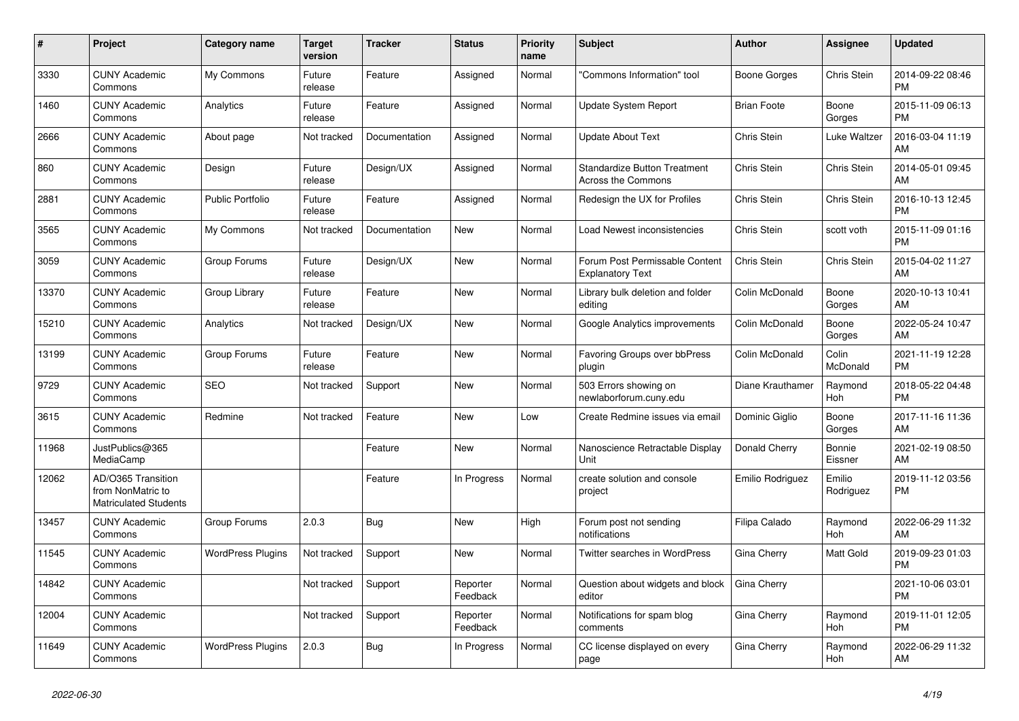| #     | <b>Project</b>                                                          | Category name            | <b>Target</b><br>version | <b>Tracker</b> | <b>Status</b>        | Priority<br>name | <b>Subject</b>                                                   | <b>Author</b>      | Assignee            | <b>Updated</b>                |
|-------|-------------------------------------------------------------------------|--------------------------|--------------------------|----------------|----------------------|------------------|------------------------------------------------------------------|--------------------|---------------------|-------------------------------|
| 3330  | <b>CUNY Academic</b><br>Commons                                         | My Commons               | Future<br>release        | Feature        | Assigned             | Normal           | "Commons Information" tool                                       | Boone Gorges       | Chris Stein         | 2014-09-22 08:46<br><b>PM</b> |
| 1460  | <b>CUNY Academic</b><br>Commons                                         | Analytics                | Future<br>release        | Feature        | Assigned             | Normal           | <b>Update System Report</b>                                      | <b>Brian Foote</b> | Boone<br>Gorges     | 2015-11-09 06:13<br><b>PM</b> |
| 2666  | <b>CUNY Academic</b><br>Commons                                         | About page               | Not tracked              | Documentation  | Assigned             | Normal           | <b>Update About Text</b>                                         | Chris Stein        | Luke Waltzer        | 2016-03-04 11:19<br>AM        |
| 860   | <b>CUNY Academic</b><br>Commons                                         | Design                   | Future<br>release        | Design/UX      | Assigned             | Normal           | <b>Standardize Button Treatment</b><br><b>Across the Commons</b> | Chris Stein        | Chris Stein         | 2014-05-01 09:45<br>AM        |
| 2881  | <b>CUNY Academic</b><br>Commons                                         | <b>Public Portfolio</b>  | Future<br>release        | Feature        | Assigned             | Normal           | Redesign the UX for Profiles                                     | Chris Stein        | Chris Stein         | 2016-10-13 12:45<br><b>PM</b> |
| 3565  | <b>CUNY Academic</b><br>Commons                                         | My Commons               | Not tracked              | Documentation  | New                  | Normal           | Load Newest inconsistencies                                      | Chris Stein        | scott voth          | 2015-11-09 01:16<br><b>PM</b> |
| 3059  | <b>CUNY Academic</b><br>Commons                                         | Group Forums             | Future<br>release        | Design/UX      | <b>New</b>           | Normal           | Forum Post Permissable Content<br><b>Explanatory Text</b>        | Chris Stein        | Chris Stein         | 2015-04-02 11:27<br>AM        |
| 13370 | <b>CUNY Academic</b><br>Commons                                         | Group Library            | Future<br>release        | Feature        | <b>New</b>           | Normal           | Library bulk deletion and folder<br>editing                      | Colin McDonald     | Boone<br>Gorges     | 2020-10-13 10:41<br>AM        |
| 15210 | <b>CUNY Academic</b><br>Commons                                         | Analytics                | Not tracked              | Design/UX      | New                  | Normal           | Google Analytics improvements                                    | Colin McDonald     | Boone<br>Gorges     | 2022-05-24 10:47<br>AM        |
| 13199 | <b>CUNY Academic</b><br>Commons                                         | Group Forums             | Future<br>release        | Feature        | New                  | Normal           | Favoring Groups over bbPress<br>plugin                           | Colin McDonald     | Colin<br>McDonald   | 2021-11-19 12:28<br><b>PM</b> |
| 9729  | <b>CUNY Academic</b><br>Commons                                         | <b>SEO</b>               | Not tracked              | Support        | <b>New</b>           | Normal           | 503 Errors showing on<br>newlaborforum.cuny.edu                  | Diane Krauthamer   | Raymond<br>Hoh      | 2018-05-22 04:48<br><b>PM</b> |
| 3615  | <b>CUNY Academic</b><br>Commons                                         | Redmine                  | Not tracked              | Feature        | New                  | Low              | Create Redmine issues via email                                  | Dominic Giglio     | Boone<br>Gorges     | 2017-11-16 11:36<br>AM        |
| 11968 | JustPublics@365<br>MediaCamp                                            |                          |                          | Feature        | <b>New</b>           | Normal           | Nanoscience Retractable Display<br>Unit                          | Donald Cherry      | Bonnie<br>Eissner   | 2021-02-19 08:50<br>AM        |
| 12062 | AD/O365 Transition<br>from NonMatric to<br><b>Matriculated Students</b> |                          |                          | Feature        | In Progress          | Normal           | create solution and console<br>project                           | Emilio Rodriguez   | Emilio<br>Rodriguez | 2019-11-12 03:56<br><b>PM</b> |
| 13457 | <b>CUNY Academic</b><br>Commons                                         | Group Forums             | 2.0.3                    | Bug            | New                  | High             | Forum post not sending<br>notifications                          | Filipa Calado      | Raymond<br>Hoh      | 2022-06-29 11:32<br>AM        |
| 11545 | <b>CUNY Academic</b><br>Commons                                         | <b>WordPress Plugins</b> | Not tracked              | Support        | <b>New</b>           | Normal           | Twitter searches in WordPress                                    | Gina Cherry        | Matt Gold           | 2019-09-23 01:03<br><b>PM</b> |
| 14842 | <b>CUNY Academic</b><br>Commons                                         |                          | Not tracked              | Support        | Reporter<br>Feedback | Normal           | Question about widgets and block<br>editor                       | Gina Cherry        |                     | 2021-10-06 03:01<br><b>PM</b> |
| 12004 | <b>CUNY Academic</b><br>Commons                                         |                          | Not tracked              | Support        | Reporter<br>Feedback | Normal           | Notifications for spam blog<br>comments                          | Gina Cherry        | Raymond<br>Hoh      | 2019-11-01 12:05<br><b>PM</b> |
| 11649 | <b>CUNY Academic</b><br>Commons                                         | <b>WordPress Plugins</b> | 2.0.3                    | Bug            | In Progress          | Normal           | CC license displayed on every<br>page                            | Gina Cherry        | Raymond<br>Hoh      | 2022-06-29 11:32<br>AM        |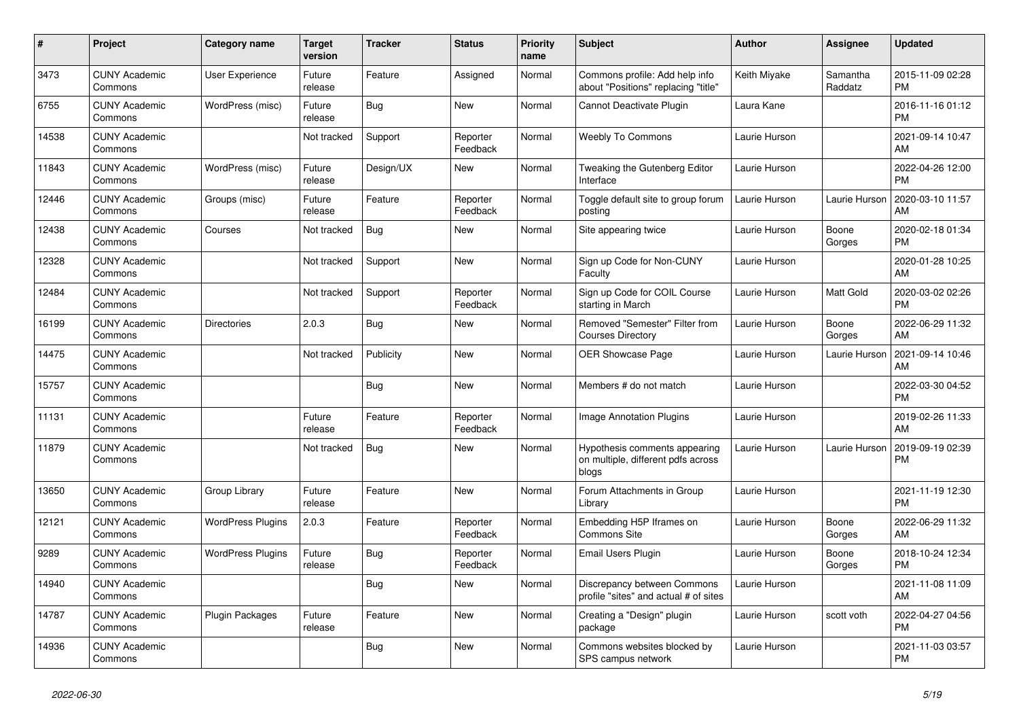| $\pmb{\sharp}$ | Project                         | <b>Category name</b>     | <b>Target</b><br>version | <b>Tracker</b> | <b>Status</b>        | Priority<br>name | <b>Subject</b>                                                               | <b>Author</b> | Assignee            | <b>Updated</b>                |
|----------------|---------------------------------|--------------------------|--------------------------|----------------|----------------------|------------------|------------------------------------------------------------------------------|---------------|---------------------|-------------------------------|
| 3473           | <b>CUNY Academic</b><br>Commons | <b>User Experience</b>   | Future<br>release        | Feature        | Assigned             | Normal           | Commons profile: Add help info<br>about "Positions" replacing "title"        | Keith Miyake  | Samantha<br>Raddatz | 2015-11-09 02:28<br><b>PM</b> |
| 6755           | <b>CUNY Academic</b><br>Commons | WordPress (misc)         | Future<br>release        | Bug            | New                  | Normal           | Cannot Deactivate Plugin                                                     | Laura Kane    |                     | 2016-11-16 01:12<br><b>PM</b> |
| 14538          | <b>CUNY Academic</b><br>Commons |                          | Not tracked              | Support        | Reporter<br>Feedback | Normal           | <b>Weebly To Commons</b>                                                     | Laurie Hurson |                     | 2021-09-14 10:47<br>AM        |
| 11843          | <b>CUNY Academic</b><br>Commons | WordPress (misc)         | Future<br>release        | Design/UX      | <b>New</b>           | Normal           | Tweaking the Gutenberg Editor<br>Interface                                   | Laurie Hurson |                     | 2022-04-26 12:00<br><b>PM</b> |
| 12446          | <b>CUNY Academic</b><br>Commons | Groups (misc)            | Future<br>release        | Feature        | Reporter<br>Feedback | Normal           | Toggle default site to group forum<br>posting                                | Laurie Hurson | Laurie Hurson       | 2020-03-10 11:57<br>AM        |
| 12438          | <b>CUNY Academic</b><br>Commons | Courses                  | Not tracked              | Bug            | New                  | Normal           | Site appearing twice                                                         | Laurie Hurson | Boone<br>Gorges     | 2020-02-18 01:34<br><b>PM</b> |
| 12328          | <b>CUNY Academic</b><br>Commons |                          | Not tracked              | Support        | <b>New</b>           | Normal           | Sign up Code for Non-CUNY<br>Faculty                                         | Laurie Hurson |                     | 2020-01-28 10:25<br>AM        |
| 12484          | <b>CUNY Academic</b><br>Commons |                          | Not tracked              | Support        | Reporter<br>Feedback | Normal           | Sign up Code for COIL Course<br>starting in March                            | Laurie Hurson | Matt Gold           | 2020-03-02 02:26<br><b>PM</b> |
| 16199          | <b>CUNY Academic</b><br>Commons | <b>Directories</b>       | 2.0.3                    | Bug            | New                  | Normal           | Removed "Semester" Filter from<br><b>Courses Directory</b>                   | Laurie Hurson | Boone<br>Gorges     | 2022-06-29 11:32<br>AM        |
| 14475          | <b>CUNY Academic</b><br>Commons |                          | Not tracked              | Publicity      | <b>New</b>           | Normal           | <b>OER Showcase Page</b>                                                     | Laurie Hurson | Laurie Hurson       | 2021-09-14 10:46<br>AM        |
| 15757          | <b>CUNY Academic</b><br>Commons |                          |                          | Bug            | <b>New</b>           | Normal           | Members # do not match                                                       | Laurie Hurson |                     | 2022-03-30 04:52<br><b>PM</b> |
| 11131          | <b>CUNY Academic</b><br>Commons |                          | Future<br>release        | Feature        | Reporter<br>Feedback | Normal           | Image Annotation Plugins                                                     | Laurie Hurson |                     | 2019-02-26 11:33<br>AM        |
| 11879          | <b>CUNY Academic</b><br>Commons |                          | Not tracked              | Bug            | <b>New</b>           | Normal           | Hypothesis comments appearing<br>on multiple, different pdfs across<br>blogs | Laurie Hurson | Laurie Hurson       | 2019-09-19 02:39<br><b>PM</b> |
| 13650          | <b>CUNY Academic</b><br>Commons | Group Library            | Future<br>release        | Feature        | New                  | Normal           | Forum Attachments in Group<br>Library                                        | Laurie Hurson |                     | 2021-11-19 12:30<br><b>PM</b> |
| 12121          | <b>CUNY Academic</b><br>Commons | <b>WordPress Plugins</b> | 2.0.3                    | Feature        | Reporter<br>Feedback | Normal           | Embedding H5P Iframes on<br><b>Commons Site</b>                              | Laurie Hurson | Boone<br>Gorges     | 2022-06-29 11:32<br>AM        |
| 9289           | <b>CUNY Academic</b><br>Commons | <b>WordPress Plugins</b> | Future<br>release        | <b>Bug</b>     | Reporter<br>Feedback | Normal           | Email Users Plugin                                                           | Laurie Hurson | Boone<br>Gorges     | 2018-10-24 12:34<br><b>PM</b> |
| 14940          | <b>CUNY Academic</b><br>Commons |                          |                          | Bug            | New                  | Normal           | Discrepancy between Commons<br>profile "sites" and actual # of sites         | Laurie Hurson |                     | 2021-11-08 11:09<br>AM        |
| 14787          | <b>CUNY Academic</b><br>Commons | Plugin Packages          | Future<br>release        | Feature        | <b>New</b>           | Normal           | Creating a "Design" plugin<br>package                                        | Laurie Hurson | scott voth          | 2022-04-27 04:56<br><b>PM</b> |
| 14936          | <b>CUNY Academic</b><br>Commons |                          |                          | Bug            | <b>New</b>           | Normal           | Commons websites blocked by<br>SPS campus network                            | Laurie Hurson |                     | 2021-11-03 03:57<br><b>PM</b> |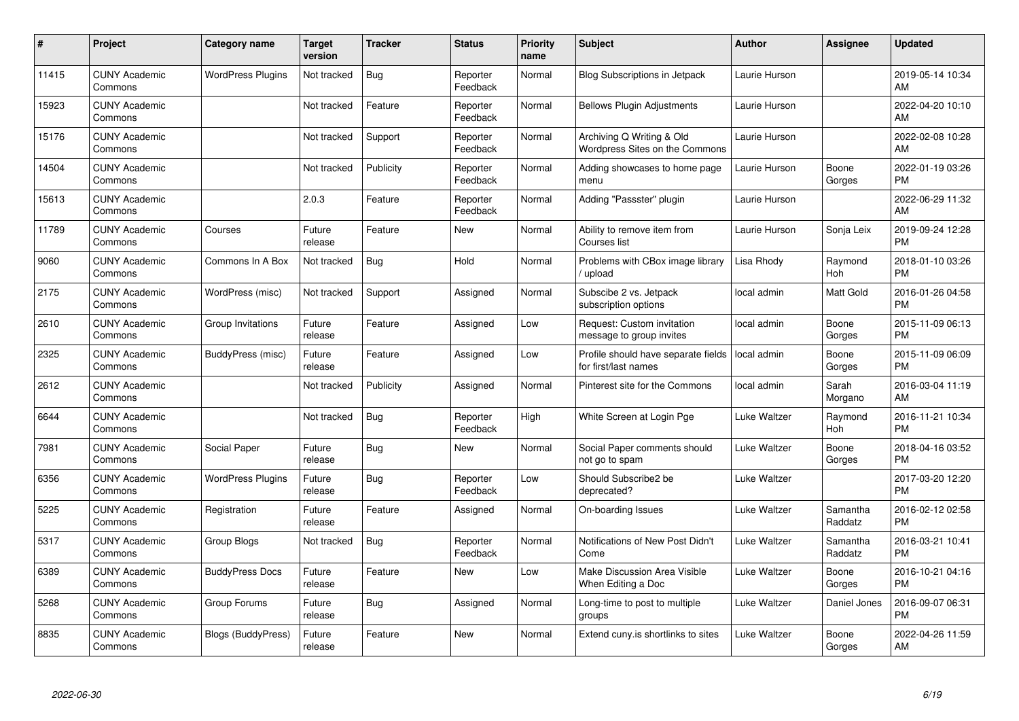| #     | Project                         | <b>Category name</b>     | <b>Target</b><br>version | <b>Tracker</b> | <b>Status</b>        | Priority<br>name | <b>Subject</b>                                              | <b>Author</b> | Assignee            | <b>Updated</b>                |
|-------|---------------------------------|--------------------------|--------------------------|----------------|----------------------|------------------|-------------------------------------------------------------|---------------|---------------------|-------------------------------|
| 11415 | <b>CUNY Academic</b><br>Commons | <b>WordPress Plugins</b> | Not tracked              | <b>Bug</b>     | Reporter<br>Feedback | Normal           | <b>Blog Subscriptions in Jetpack</b>                        | Laurie Hurson |                     | 2019-05-14 10:34<br>AM        |
| 15923 | <b>CUNY Academic</b><br>Commons |                          | Not tracked              | Feature        | Reporter<br>Feedback | Normal           | <b>Bellows Plugin Adjustments</b>                           | Laurie Hurson |                     | 2022-04-20 10:10<br>AM        |
| 15176 | <b>CUNY Academic</b><br>Commons |                          | Not tracked              | Support        | Reporter<br>Feedback | Normal           | Archiving Q Writing & Old<br>Wordpress Sites on the Commons | Laurie Hurson |                     | 2022-02-08 10:28<br>AM        |
| 14504 | <b>CUNY Academic</b><br>Commons |                          | Not tracked              | Publicity      | Reporter<br>Feedback | Normal           | Adding showcases to home page<br>menu                       | Laurie Hurson | Boone<br>Gorges     | 2022-01-19 03:26<br><b>PM</b> |
| 15613 | <b>CUNY Academic</b><br>Commons |                          | 2.0.3                    | Feature        | Reporter<br>Feedback | Normal           | Adding "Passster" plugin                                    | Laurie Hurson |                     | 2022-06-29 11:32<br>AM        |
| 11789 | <b>CUNY Academic</b><br>Commons | Courses                  | Future<br>release        | Feature        | <b>New</b>           | Normal           | Ability to remove item from<br>Courses list                 | Laurie Hurson | Sonja Leix          | 2019-09-24 12:28<br><b>PM</b> |
| 9060  | <b>CUNY Academic</b><br>Commons | Commons In A Box         | Not tracked              | Bug            | Hold                 | Normal           | Problems with CBox image library<br>/ upload                | Lisa Rhody    | Raymond<br>Hoh      | 2018-01-10 03:26<br><b>PM</b> |
| 2175  | <b>CUNY Academic</b><br>Commons | WordPress (misc)         | Not tracked              | Support        | Assigned             | Normal           | Subscibe 2 vs. Jetpack<br>subscription options              | local admin   | Matt Gold           | 2016-01-26 04:58<br><b>PM</b> |
| 2610  | <b>CUNY Academic</b><br>Commons | Group Invitations        | Future<br>release        | Feature        | Assigned             | Low              | Request: Custom invitation<br>message to group invites      | local admin   | Boone<br>Gorges     | 2015-11-09 06:13<br><b>PM</b> |
| 2325  | <b>CUNY Academic</b><br>Commons | BuddyPress (misc)        | Future<br>release        | Feature        | Assigned             | Low              | Profile should have separate fields<br>for first/last names | local admin   | Boone<br>Gorges     | 2015-11-09 06:09<br><b>PM</b> |
| 2612  | <b>CUNY Academic</b><br>Commons |                          | Not tracked              | Publicity      | Assigned             | Normal           | Pinterest site for the Commons                              | local admin   | Sarah<br>Morgano    | 2016-03-04 11:19<br>AM        |
| 6644  | <b>CUNY Academic</b><br>Commons |                          | Not tracked              | Bug            | Reporter<br>Feedback | High             | White Screen at Login Pge                                   | Luke Waltzer  | Raymond<br>Hoh      | 2016-11-21 10:34<br><b>PM</b> |
| 7981  | <b>CUNY Academic</b><br>Commons | Social Paper             | Future<br>release        | Bug            | New                  | Normal           | Social Paper comments should<br>not go to spam              | Luke Waltzer  | Boone<br>Gorges     | 2018-04-16 03:52<br><b>PM</b> |
| 6356  | <b>CUNY Academic</b><br>Commons | <b>WordPress Plugins</b> | Future<br>release        | Bug            | Reporter<br>Feedback | Low              | Should Subscribe2 be<br>deprecated?                         | Luke Waltzer  |                     | 2017-03-20 12:20<br><b>PM</b> |
| 5225  | <b>CUNY Academic</b><br>Commons | Registration             | Future<br>release        | Feature        | Assigned             | Normal           | On-boarding Issues                                          | Luke Waltzer  | Samantha<br>Raddatz | 2016-02-12 02:58<br><b>PM</b> |
| 5317  | <b>CUNY Academic</b><br>Commons | Group Blogs              | Not tracked              | Bug            | Reporter<br>Feedback | Normal           | Notifications of New Post Didn't<br>Come                    | Luke Waltzer  | Samantha<br>Raddatz | 2016-03-21 10:41<br><b>PM</b> |
| 6389  | <b>CUNY Academic</b><br>Commons | <b>BuddyPress Docs</b>   | Future<br>release        | Feature        | New                  | Low              | <b>Make Discussion Area Visible</b><br>When Editing a Doc   | Luke Waltzer  | Boone<br>Gorges     | 2016-10-21 04:16<br><b>PM</b> |
| 5268  | <b>CUNY Academic</b><br>Commons | Group Forums             | Future<br>release        | <b>Bug</b>     | Assigned             | Normal           | Long-time to post to multiple<br>groups                     | Luke Waltzer  | Daniel Jones        | 2016-09-07 06:31<br><b>PM</b> |
| 8835  | <b>CUNY Academic</b><br>Commons | Blogs (BuddyPress)       | Future<br>release        | Feature        | <b>New</b>           | Normal           | Extend cuny. is shortlinks to sites                         | Luke Waltzer  | Boone<br>Gorges     | 2022-04-26 11:59<br>AM        |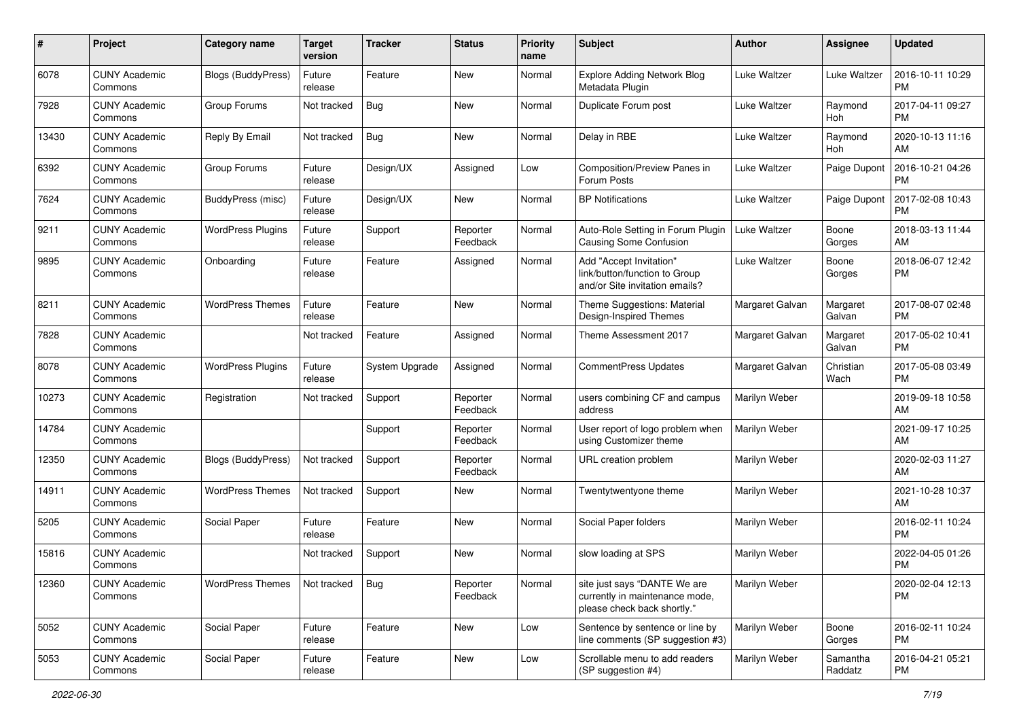| #     | Project                         | <b>Category name</b>     | <b>Target</b><br>version | <b>Tracker</b> | <b>Status</b>        | Priority<br>name | <b>Subject</b>                                                                                | Author          | <b>Assignee</b>     | <b>Updated</b>                |
|-------|---------------------------------|--------------------------|--------------------------|----------------|----------------------|------------------|-----------------------------------------------------------------------------------------------|-----------------|---------------------|-------------------------------|
| 6078  | <b>CUNY Academic</b><br>Commons | Blogs (BuddyPress)       | Future<br>release        | Feature        | New                  | Normal           | Explore Adding Network Blog<br>Metadata Plugin                                                | Luke Waltzer    | Luke Waltzer        | 2016-10-11 10:29<br><b>PM</b> |
| 7928  | <b>CUNY Academic</b><br>Commons | Group Forums             | Not tracked              | <b>Bug</b>     | New                  | Normal           | Duplicate Forum post                                                                          | Luke Waltzer    | Raymond<br>Hoh      | 2017-04-11 09:27<br><b>PM</b> |
| 13430 | <b>CUNY Academic</b><br>Commons | Reply By Email           | Not tracked              | <b>Bug</b>     | New                  | Normal           | Delay in RBE                                                                                  | Luke Waltzer    | Raymond<br>Hoh      | 2020-10-13 11:16<br>AM        |
| 6392  | <b>CUNY Academic</b><br>Commons | Group Forums             | Future<br>release        | Design/UX      | Assigned             | Low              | Composition/Preview Panes in<br>Forum Posts                                                   | Luke Waltzer    | Paige Dupont        | 2016-10-21 04:26<br><b>PM</b> |
| 7624  | <b>CUNY Academic</b><br>Commons | <b>BuddyPress (misc)</b> | Future<br>release        | Design/UX      | New                  | Normal           | <b>BP Notifications</b>                                                                       | Luke Waltzer    | Paige Dupont        | 2017-02-08 10:43<br>PM        |
| 9211  | <b>CUNY Academic</b><br>Commons | <b>WordPress Plugins</b> | Future<br>release        | Support        | Reporter<br>Feedback | Normal           | Auto-Role Setting in Forum Plugin<br><b>Causing Some Confusion</b>                            | Luke Waltzer    | Boone<br>Gorges     | 2018-03-13 11:44<br>AM        |
| 9895  | <b>CUNY Academic</b><br>Commons | Onboarding               | Future<br>release        | Feature        | Assigned             | Normal           | Add "Accept Invitation"<br>link/button/function to Group<br>and/or Site invitation emails?    | Luke Waltzer    | Boone<br>Gorges     | 2018-06-07 12:42<br><b>PM</b> |
| 8211  | <b>CUNY Academic</b><br>Commons | <b>WordPress Themes</b>  | Future<br>release        | Feature        | New                  | Normal           | Theme Suggestions: Material<br>Design-Inspired Themes                                         | Margaret Galvan | Margaret<br>Galvan  | 2017-08-07 02:48<br><b>PM</b> |
| 7828  | <b>CUNY Academic</b><br>Commons |                          | Not tracked              | Feature        | Assigned             | Normal           | Theme Assessment 2017                                                                         | Margaret Galvan | Margaret<br>Galvan  | 2017-05-02 10:41<br><b>PM</b> |
| 8078  | <b>CUNY Academic</b><br>Commons | <b>WordPress Plugins</b> | Future<br>release        | System Upgrade | Assigned             | Normal           | <b>CommentPress Updates</b>                                                                   | Margaret Galvan | Christian<br>Wach   | 2017-05-08 03:49<br><b>PM</b> |
| 10273 | <b>CUNY Academic</b><br>Commons | Registration             | Not tracked              | Support        | Reporter<br>Feedback | Normal           | users combining CF and campus<br>address                                                      | Marilyn Weber   |                     | 2019-09-18 10:58<br>AM        |
| 14784 | <b>CUNY Academic</b><br>Commons |                          |                          | Support        | Reporter<br>Feedback | Normal           | User report of logo problem when<br>using Customizer theme                                    | Marilyn Weber   |                     | 2021-09-17 10:25<br>AM        |
| 12350 | <b>CUNY Academic</b><br>Commons | Blogs (BuddyPress)       | Not tracked              | Support        | Reporter<br>Feedback | Normal           | URL creation problem                                                                          | Marilyn Weber   |                     | 2020-02-03 11:27<br>AM        |
| 14911 | <b>CUNY Academic</b><br>Commons | <b>WordPress Themes</b>  | Not tracked              | Support        | New                  | Normal           | Twentytwentyone theme                                                                         | Marilyn Weber   |                     | 2021-10-28 10:37<br>AM        |
| 5205  | <b>CUNY Academic</b><br>Commons | Social Paper             | Future<br>release        | Feature        | New                  | Normal           | Social Paper folders                                                                          | Marilyn Weber   |                     | 2016-02-11 10:24<br><b>PM</b> |
| 15816 | <b>CUNY Academic</b><br>Commons |                          | Not tracked              | Support        | New                  | Normal           | slow loading at SPS                                                                           | Marilyn Weber   |                     | 2022-04-05 01:26<br><b>PM</b> |
| 12360 | <b>CUNY Academic</b><br>Commons | <b>WordPress Themes</b>  | Not tracked              | Bug            | Reporter<br>Feedback | Normal           | site just says "DANTE We are<br>currently in maintenance mode,<br>please check back shortly." | Marilyn Weber   |                     | 2020-02-04 12:13<br><b>PM</b> |
| 5052  | <b>CUNY Academic</b><br>Commons | Social Paper             | Future<br>release        | Feature        | New                  | Low              | Sentence by sentence or line by<br>line comments (SP suggestion #3)                           | Marilyn Weber   | Boone<br>Gorges     | 2016-02-11 10:24<br><b>PM</b> |
| 5053  | <b>CUNY Academic</b><br>Commons | Social Paper             | Future<br>release        | Feature        | New                  | Low              | Scrollable menu to add readers<br>(SP suggestion #4)                                          | Marilyn Weber   | Samantha<br>Raddatz | 2016-04-21 05:21<br><b>PM</b> |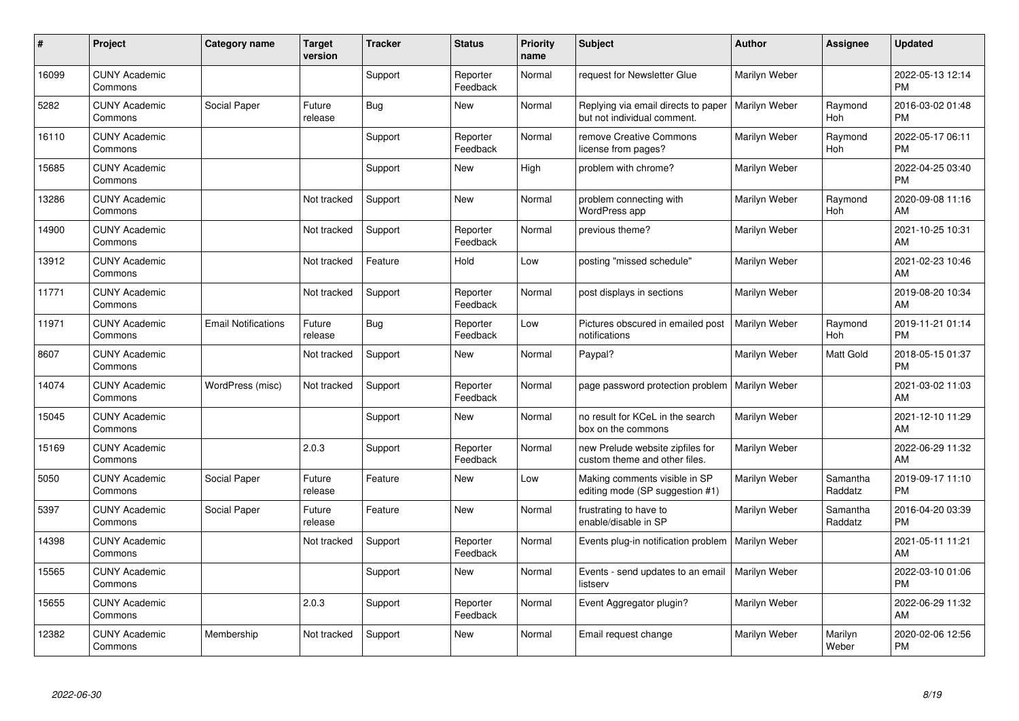| #     | Project                         | Category name              | <b>Target</b><br>version | <b>Tracker</b> | <b>Status</b>        | <b>Priority</b><br>name | <b>Subject</b>                                                     | <b>Author</b> | <b>Assignee</b>     | <b>Updated</b>                |
|-------|---------------------------------|----------------------------|--------------------------|----------------|----------------------|-------------------------|--------------------------------------------------------------------|---------------|---------------------|-------------------------------|
| 16099 | <b>CUNY Academic</b><br>Commons |                            |                          | Support        | Reporter<br>Feedback | Normal                  | request for Newsletter Glue                                        | Marilyn Weber |                     | 2022-05-13 12:14<br><b>PM</b> |
| 5282  | <b>CUNY Academic</b><br>Commons | Social Paper               | Future<br>release        | Bug            | <b>New</b>           | Normal                  | Replying via email directs to paper<br>but not individual comment. | Marilyn Weber | Raymond<br>Hoh      | 2016-03-02 01:48<br><b>PM</b> |
| 16110 | <b>CUNY Academic</b><br>Commons |                            |                          | Support        | Reporter<br>Feedback | Normal                  | remove Creative Commons<br>license from pages?                     | Marilyn Weber | Raymond<br>Hoh      | 2022-05-17 06:11<br><b>PM</b> |
| 15685 | <b>CUNY Academic</b><br>Commons |                            |                          | Support        | <b>New</b>           | High                    | problem with chrome?                                               | Marilyn Weber |                     | 2022-04-25 03:40<br><b>PM</b> |
| 13286 | <b>CUNY Academic</b><br>Commons |                            | Not tracked              | Support        | New                  | Normal                  | problem connecting with<br>WordPress app                           | Marilyn Weber | Raymond<br>Hoh      | 2020-09-08 11:16<br>AM        |
| 14900 | <b>CUNY Academic</b><br>Commons |                            | Not tracked              | Support        | Reporter<br>Feedback | Normal                  | previous theme?                                                    | Marilyn Weber |                     | 2021-10-25 10:31<br>AM        |
| 13912 | <b>CUNY Academic</b><br>Commons |                            | Not tracked              | Feature        | Hold                 | Low                     | posting "missed schedule"                                          | Marilyn Weber |                     | 2021-02-23 10:46<br>AM        |
| 11771 | <b>CUNY Academic</b><br>Commons |                            | Not tracked              | Support        | Reporter<br>Feedback | Normal                  | post displays in sections                                          | Marilyn Weber |                     | 2019-08-20 10:34<br>AM        |
| 11971 | <b>CUNY Academic</b><br>Commons | <b>Email Notifications</b> | Future<br>release        | Bug            | Reporter<br>Feedback | Low                     | Pictures obscured in emailed post<br>notifications                 | Marilyn Weber | Raymond<br>Hoh      | 2019-11-21 01:14<br><b>PM</b> |
| 8607  | <b>CUNY Academic</b><br>Commons |                            | Not tracked              | Support        | <b>New</b>           | Normal                  | Paypal?                                                            | Marilyn Weber | Matt Gold           | 2018-05-15 01:37<br><b>PM</b> |
| 14074 | <b>CUNY Academic</b><br>Commons | WordPress (misc)           | Not tracked              | Support        | Reporter<br>Feedback | Normal                  | page password protection problem                                   | Marilyn Weber |                     | 2021-03-02 11:03<br>AM        |
| 15045 | <b>CUNY Academic</b><br>Commons |                            |                          | Support        | New                  | Normal                  | no result for KCeL in the search<br>box on the commons             | Marilyn Weber |                     | 2021-12-10 11:29<br>AM        |
| 15169 | <b>CUNY Academic</b><br>Commons |                            | 2.0.3                    | Support        | Reporter<br>Feedback | Normal                  | new Prelude website zipfiles for<br>custom theme and other files.  | Marilyn Weber |                     | 2022-06-29 11:32<br>AM        |
| 5050  | <b>CUNY Academic</b><br>Commons | Social Paper               | Future<br>release        | Feature        | <b>New</b>           | Low                     | Making comments visible in SP<br>editing mode (SP suggestion #1)   | Marilyn Weber | Samantha<br>Raddatz | 2019-09-17 11:10<br><b>PM</b> |
| 5397  | <b>CUNY Academic</b><br>Commons | Social Paper               | Future<br>release        | Feature        | <b>New</b>           | Normal                  | frustrating to have to<br>enable/disable in SP                     | Marilyn Weber | Samantha<br>Raddatz | 2016-04-20 03:39<br><b>PM</b> |
| 14398 | <b>CUNY Academic</b><br>Commons |                            | Not tracked              | Support        | Reporter<br>Feedback | Normal                  | Events plug-in notification problem   Marilyn Weber                |               |                     | 2021-05-11 11:21<br>AM        |
| 15565 | <b>CUNY Academic</b><br>Commons |                            |                          | Support        | New                  | Normal                  | Events - send updates to an email<br>listserv                      | Marilyn Weber |                     | 2022-03-10 01:06<br><b>PM</b> |
| 15655 | <b>CUNY Academic</b><br>Commons |                            | 2.0.3                    | Support        | Reporter<br>Feedback | Normal                  | Event Aggregator plugin?                                           | Marilyn Weber |                     | 2022-06-29 11:32<br>AM        |
| 12382 | <b>CUNY Academic</b><br>Commons | Membership                 | Not tracked              | Support        | <b>New</b>           | Normal                  | Email request change                                               | Marilyn Weber | Marilyn<br>Weber    | 2020-02-06 12:56<br><b>PM</b> |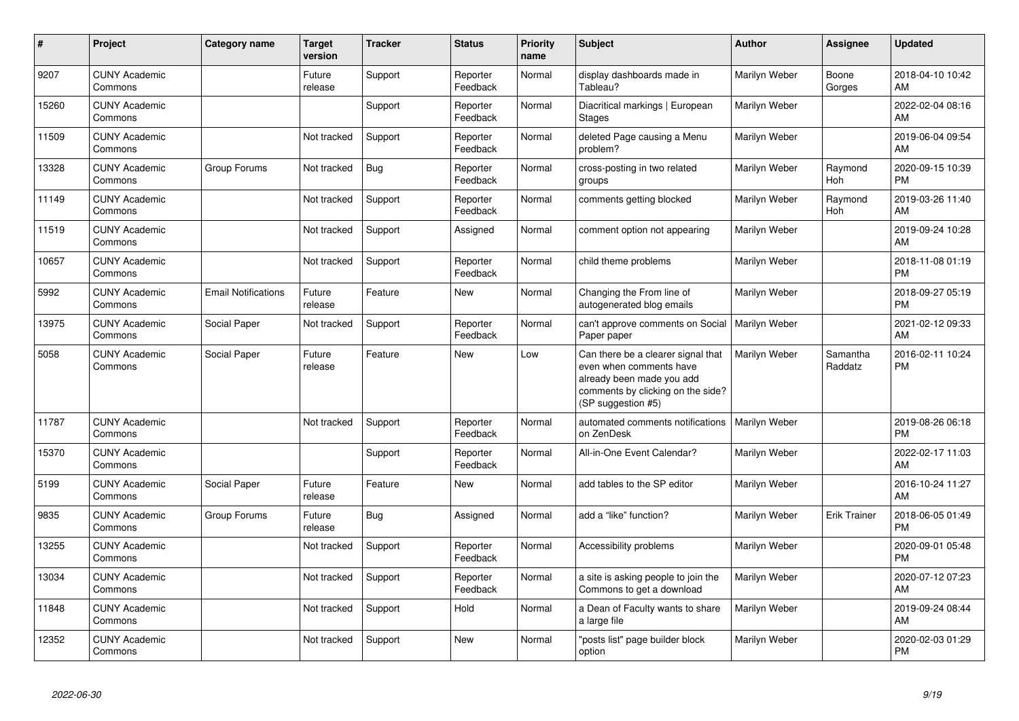| #     | Project                         | Category name              | <b>Target</b><br>version | <b>Tracker</b> | <b>Status</b>        | <b>Priority</b><br>name | <b>Subject</b>                                                                                                                                        | <b>Author</b> | Assignee            | <b>Updated</b>                |
|-------|---------------------------------|----------------------------|--------------------------|----------------|----------------------|-------------------------|-------------------------------------------------------------------------------------------------------------------------------------------------------|---------------|---------------------|-------------------------------|
| 9207  | <b>CUNY Academic</b><br>Commons |                            | Future<br>release        | Support        | Reporter<br>Feedback | Normal                  | display dashboards made in<br>Tableau?                                                                                                                | Marilyn Weber | Boone<br>Gorges     | 2018-04-10 10:42<br>AM        |
| 15260 | <b>CUNY Academic</b><br>Commons |                            |                          | Support        | Reporter<br>Feedback | Normal                  | Diacritical markings   European<br><b>Stages</b>                                                                                                      | Marilyn Weber |                     | 2022-02-04 08:16<br>AM        |
| 11509 | <b>CUNY Academic</b><br>Commons |                            | Not tracked              | Support        | Reporter<br>Feedback | Normal                  | deleted Page causing a Menu<br>problem?                                                                                                               | Marilyn Weber |                     | 2019-06-04 09:54<br>AM        |
| 13328 | <b>CUNY Academic</b><br>Commons | Group Forums               | Not tracked              | Bug            | Reporter<br>Feedback | Normal                  | cross-posting in two related<br>groups                                                                                                                | Marilyn Weber | Raymond<br>Hoh      | 2020-09-15 10:39<br><b>PM</b> |
| 11149 | <b>CUNY Academic</b><br>Commons |                            | Not tracked              | Support        | Reporter<br>Feedback | Normal                  | comments getting blocked                                                                                                                              | Marilyn Weber | Raymond<br>Hoh      | 2019-03-26 11:40<br>AM        |
| 11519 | <b>CUNY Academic</b><br>Commons |                            | Not tracked              | Support        | Assigned             | Normal                  | comment option not appearing                                                                                                                          | Marilyn Weber |                     | 2019-09-24 10:28<br>AM        |
| 10657 | <b>CUNY Academic</b><br>Commons |                            | Not tracked              | Support        | Reporter<br>Feedback | Normal                  | child theme problems                                                                                                                                  | Marilyn Weber |                     | 2018-11-08 01:19<br><b>PM</b> |
| 5992  | <b>CUNY Academic</b><br>Commons | <b>Email Notifications</b> | Future<br>release        | Feature        | <b>New</b>           | Normal                  | Changing the From line of<br>autogenerated blog emails                                                                                                | Marilyn Weber |                     | 2018-09-27 05:19<br><b>PM</b> |
| 13975 | <b>CUNY Academic</b><br>Commons | Social Paper               | Not tracked              | Support        | Reporter<br>Feedback | Normal                  | can't approve comments on Social<br>Paper paper                                                                                                       | Marilyn Weber |                     | 2021-02-12 09:33<br>AM        |
| 5058  | <b>CUNY Academic</b><br>Commons | Social Paper               | Future<br>release        | Feature        | <b>New</b>           | Low                     | Can there be a clearer signal that<br>even when comments have<br>already been made you add<br>comments by clicking on the side?<br>(SP suggestion #5) | Marilyn Weber | Samantha<br>Raddatz | 2016-02-11 10:24<br><b>PM</b> |
| 11787 | <b>CUNY Academic</b><br>Commons |                            | Not tracked              | Support        | Reporter<br>Feedback | Normal                  | automated comments notifications<br>on ZenDesk                                                                                                        | Marilyn Weber |                     | 2019-08-26 06:18<br><b>PM</b> |
| 15370 | <b>CUNY Academic</b><br>Commons |                            |                          | Support        | Reporter<br>Feedback | Normal                  | All-in-One Event Calendar?                                                                                                                            | Marilyn Weber |                     | 2022-02-17 11:03<br>AM        |
| 5199  | <b>CUNY Academic</b><br>Commons | Social Paper               | Future<br>release        | Feature        | <b>New</b>           | Normal                  | add tables to the SP editor                                                                                                                           | Marilyn Weber |                     | 2016-10-24 11:27<br>AM        |
| 9835  | <b>CUNY Academic</b><br>Commons | Group Forums               | Future<br>release        | Bug            | Assigned             | Normal                  | add a "like" function?                                                                                                                                | Marilyn Weber | <b>Erik Trainer</b> | 2018-06-05 01:49<br><b>PM</b> |
| 13255 | <b>CUNY Academic</b><br>Commons |                            | Not tracked              | Support        | Reporter<br>Feedback | Normal                  | Accessibility problems                                                                                                                                | Marilyn Weber |                     | 2020-09-01 05:48<br><b>PM</b> |
| 13034 | <b>CUNY Academic</b><br>Commons |                            | Not tracked              | Support        | Reporter<br>Feedback | Normal                  | a site is asking people to join the<br>Commons to get a download                                                                                      | Marilyn Weber |                     | 2020-07-12 07:23<br>AM        |
| 11848 | <b>CUNY Academic</b><br>Commons |                            | Not tracked              | Support        | Hold                 | Normal                  | a Dean of Faculty wants to share<br>a large file                                                                                                      | Marilyn Weber |                     | 2019-09-24 08:44<br>AM        |
| 12352 | <b>CUNY Academic</b><br>Commons |                            | Not tracked              | Support        | <b>New</b>           | Normal                  | "posts list" page builder block<br>option                                                                                                             | Marilyn Weber |                     | 2020-02-03 01:29<br><b>PM</b> |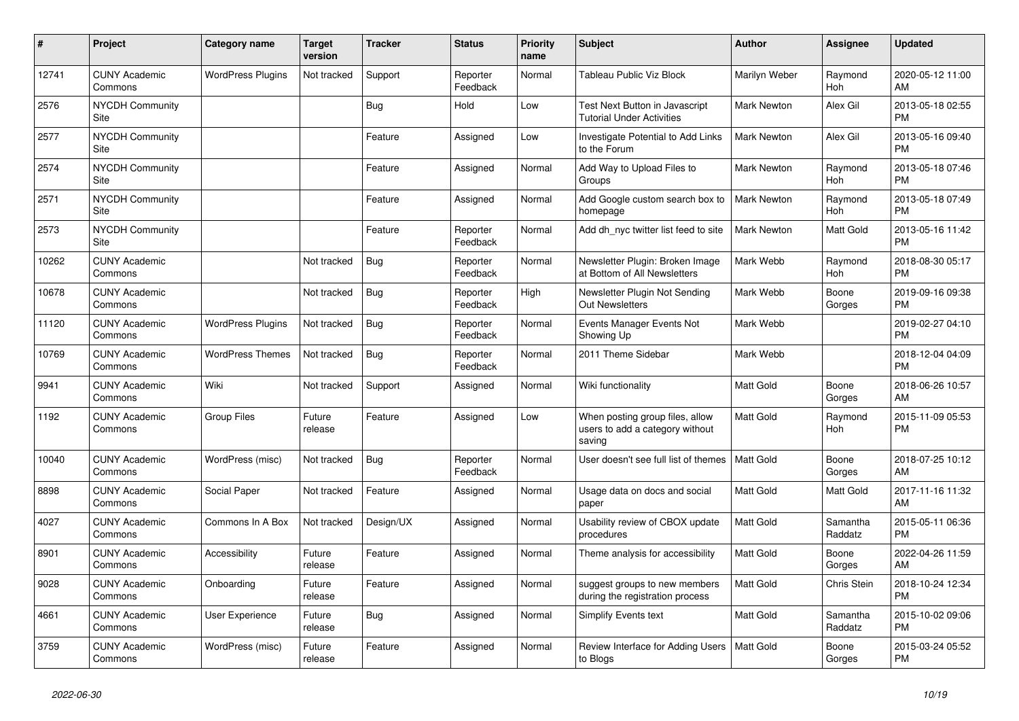| #     | <b>Project</b>                  | Category name            | <b>Target</b><br>version | <b>Tracker</b> | <b>Status</b>        | <b>Priority</b><br>name | <b>Subject</b>                                                               | <b>Author</b>      | Assignee            | <b>Updated</b>                |
|-------|---------------------------------|--------------------------|--------------------------|----------------|----------------------|-------------------------|------------------------------------------------------------------------------|--------------------|---------------------|-------------------------------|
| 12741 | <b>CUNY Academic</b><br>Commons | <b>WordPress Plugins</b> | Not tracked              | Support        | Reporter<br>Feedback | Normal                  | Tableau Public Viz Block                                                     | Marilyn Weber      | Raymond<br>Hoh      | 2020-05-12 11:00<br>AM        |
| 2576  | <b>NYCDH Community</b><br>Site  |                          |                          | Bug            | Hold                 | Low                     | Test Next Button in Javascript<br><b>Tutorial Under Activities</b>           | <b>Mark Newton</b> | Alex Gil            | 2013-05-18 02:55<br><b>PM</b> |
| 2577  | NYCDH Community<br>Site         |                          |                          | Feature        | Assigned             | Low                     | Investigate Potential to Add Links<br>to the Forum                           | Mark Newton        | Alex Gil            | 2013-05-16 09:40<br><b>PM</b> |
| 2574  | <b>NYCDH Community</b><br>Site  |                          |                          | Feature        | Assigned             | Normal                  | Add Way to Upload Files to<br>Groups                                         | <b>Mark Newton</b> | Raymond<br>Hoh      | 2013-05-18 07:46<br><b>PM</b> |
| 2571  | <b>NYCDH Community</b><br>Site  |                          |                          | Feature        | Assigned             | Normal                  | Add Google custom search box to<br>homepage                                  | <b>Mark Newton</b> | Raymond<br>Hoh      | 2013-05-18 07:49<br><b>PM</b> |
| 2573  | <b>NYCDH Community</b><br>Site  |                          |                          | Feature        | Reporter<br>Feedback | Normal                  | Add dh nyc twitter list feed to site                                         | Mark Newton        | Matt Gold           | 2013-05-16 11:42<br><b>PM</b> |
| 10262 | <b>CUNY Academic</b><br>Commons |                          | Not tracked              | Bug            | Reporter<br>Feedback | Normal                  | Newsletter Plugin: Broken Image<br>at Bottom of All Newsletters              | Mark Webb          | Raymond<br>Hoh      | 2018-08-30 05:17<br><b>PM</b> |
| 10678 | <b>CUNY Academic</b><br>Commons |                          | Not tracked              | <b>Bug</b>     | Reporter<br>Feedback | High                    | Newsletter Plugin Not Sending<br><b>Out Newsletters</b>                      | Mark Webb          | Boone<br>Gorges     | 2019-09-16 09:38<br><b>PM</b> |
| 11120 | <b>CUNY Academic</b><br>Commons | <b>WordPress Plugins</b> | Not tracked              | Bug            | Reporter<br>Feedback | Normal                  | Events Manager Events Not<br>Showing Up                                      | Mark Webb          |                     | 2019-02-27 04:10<br><b>PM</b> |
| 10769 | <b>CUNY Academic</b><br>Commons | <b>WordPress Themes</b>  | Not tracked              | Bug            | Reporter<br>Feedback | Normal                  | 2011 Theme Sidebar                                                           | Mark Webb          |                     | 2018-12-04 04:09<br><b>PM</b> |
| 9941  | <b>CUNY Academic</b><br>Commons | Wiki                     | Not tracked              | Support        | Assigned             | Normal                  | Wiki functionality                                                           | Matt Gold          | Boone<br>Gorges     | 2018-06-26 10:57<br>AM        |
| 1192  | <b>CUNY Academic</b><br>Commons | Group Files              | Future<br>release        | Feature        | Assigned             | Low                     | When posting group files, allow<br>users to add a category without<br>saving | <b>Matt Gold</b>   | Raymond<br>Hoh      | 2015-11-09 05:53<br><b>PM</b> |
| 10040 | <b>CUNY Academic</b><br>Commons | WordPress (misc)         | Not tracked              | Bug            | Reporter<br>Feedback | Normal                  | User doesn't see full list of themes                                         | <b>Matt Gold</b>   | Boone<br>Gorges     | 2018-07-25 10:12<br>AM        |
| 8898  | <b>CUNY Academic</b><br>Commons | Social Paper             | Not tracked              | Feature        | Assigned             | Normal                  | Usage data on docs and social<br>paper                                       | <b>Matt Gold</b>   | Matt Gold           | 2017-11-16 11:32<br>AM        |
| 4027  | <b>CUNY Academic</b><br>Commons | Commons In A Box         | Not tracked              | Design/UX      | Assigned             | Normal                  | Usability review of CBOX update<br>procedures                                | <b>Matt Gold</b>   | Samantha<br>Raddatz | 2015-05-11 06:36<br><b>PM</b> |
| 8901  | <b>CUNY Academic</b><br>Commons | Accessibility            | Future<br>release        | Feature        | Assigned             | Normal                  | Theme analysis for accessibility                                             | <b>Matt Gold</b>   | Boone<br>Gorges     | 2022-04-26 11:59<br>AM        |
| 9028  | <b>CUNY Academic</b><br>Commons | Onboarding               | Future<br>release        | Feature        | Assigned             | Normal                  | suggest groups to new members<br>during the registration process             | Matt Gold          | Chris Stein         | 2018-10-24 12:34<br><b>PM</b> |
| 4661  | <b>CUNY Academic</b><br>Commons | User Experience          | Future<br>release        | Bug            | Assigned             | Normal                  | <b>Simplify Events text</b>                                                  | <b>Matt Gold</b>   | Samantha<br>Raddatz | 2015-10-02 09:06<br><b>PM</b> |
| 3759  | <b>CUNY Academic</b><br>Commons | WordPress (misc)         | Future<br>release        | Feature        | Assigned             | Normal                  | Review Interface for Adding Users<br>to Blogs                                | Matt Gold          | Boone<br>Gorges     | 2015-03-24 05:52<br><b>PM</b> |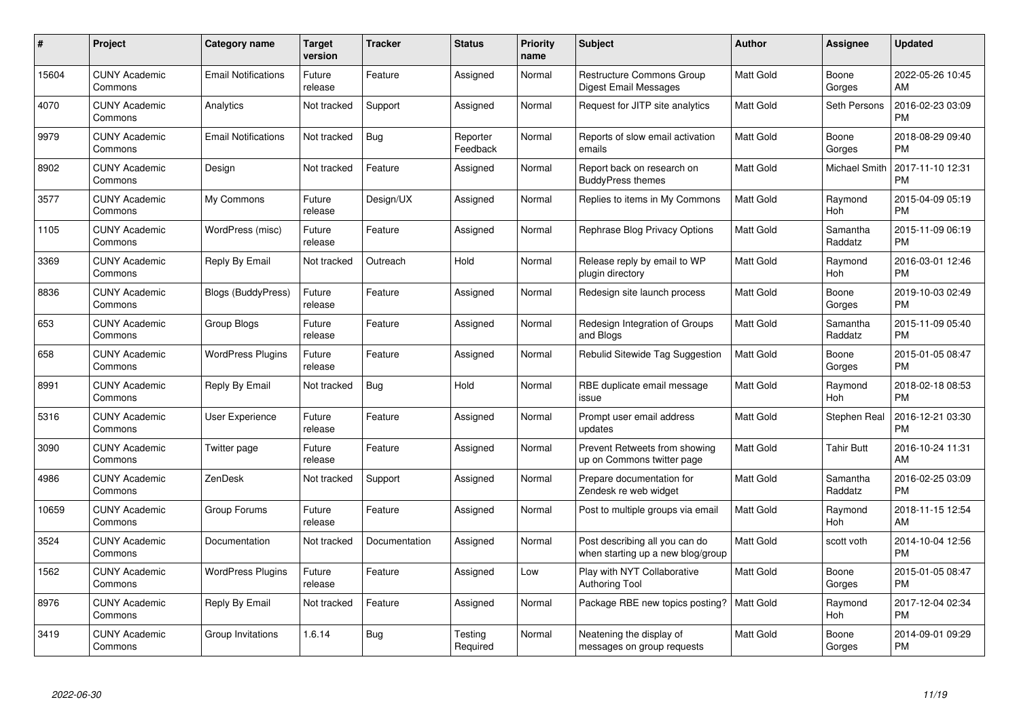| $\#$  | Project                         | <b>Category name</b>       | Target<br>version | <b>Tracker</b> | <b>Status</b>        | Priority<br>name | <b>Subject</b>                                                      | <b>Author</b>    | <b>Assignee</b>     | <b>Updated</b>                |
|-------|---------------------------------|----------------------------|-------------------|----------------|----------------------|------------------|---------------------------------------------------------------------|------------------|---------------------|-------------------------------|
| 15604 | <b>CUNY Academic</b><br>Commons | <b>Email Notifications</b> | Future<br>release | Feature        | Assigned             | Normal           | <b>Restructure Commons Group</b><br>Digest Email Messages           | <b>Matt Gold</b> | Boone<br>Gorges     | 2022-05-26 10:45<br>AM        |
| 4070  | <b>CUNY Academic</b><br>Commons | Analytics                  | Not tracked       | Support        | Assigned             | Normal           | Request for JITP site analytics                                     | <b>Matt Gold</b> | Seth Persons        | 2016-02-23 03:09<br><b>PM</b> |
| 9979  | <b>CUNY Academic</b><br>Commons | <b>Email Notifications</b> | Not tracked       | <b>Bug</b>     | Reporter<br>Feedback | Normal           | Reports of slow email activation<br>emails                          | <b>Matt Gold</b> | Boone<br>Gorges     | 2018-08-29 09:40<br><b>PM</b> |
| 8902  | <b>CUNY Academic</b><br>Commons | Design                     | Not tracked       | Feature        | Assigned             | Normal           | Report back on research on<br><b>BuddyPress themes</b>              | Matt Gold        | Michael Smith       | 2017-11-10 12:31<br><b>PM</b> |
| 3577  | <b>CUNY Academic</b><br>Commons | My Commons                 | Future<br>release | Design/UX      | Assigned             | Normal           | Replies to items in My Commons                                      | <b>Matt Gold</b> | Raymond<br>Hoh      | 2015-04-09 05:19<br><b>PM</b> |
| 1105  | <b>CUNY Academic</b><br>Commons | WordPress (misc)           | Future<br>release | Feature        | Assigned             | Normal           | Rephrase Blog Privacy Options                                       | <b>Matt Gold</b> | Samantha<br>Raddatz | 2015-11-09 06:19<br><b>PM</b> |
| 3369  | <b>CUNY Academic</b><br>Commons | Reply By Email             | Not tracked       | Outreach       | Hold                 | Normal           | Release reply by email to WP<br>plugin directory                    | Matt Gold        | Raymond<br>Hoh      | 2016-03-01 12:46<br><b>PM</b> |
| 8836  | <b>CUNY Academic</b><br>Commons | <b>Blogs (BuddyPress)</b>  | Future<br>release | Feature        | Assigned             | Normal           | Redesign site launch process                                        | <b>Matt Gold</b> | Boone<br>Gorges     | 2019-10-03 02:49<br><b>PM</b> |
| 653   | <b>CUNY Academic</b><br>Commons | Group Blogs                | Future<br>release | Feature        | Assigned             | Normal           | Redesign Integration of Groups<br>and Blogs                         | <b>Matt Gold</b> | Samantha<br>Raddatz | 2015-11-09 05:40<br><b>PM</b> |
| 658   | <b>CUNY Academic</b><br>Commons | <b>WordPress Plugins</b>   | Future<br>release | Feature        | Assigned             | Normal           | Rebulid Sitewide Tag Suggestion                                     | <b>Matt Gold</b> | Boone<br>Gorges     | 2015-01-05 08:47<br><b>PM</b> |
| 8991  | <b>CUNY Academic</b><br>Commons | Reply By Email             | Not tracked       | Bug            | Hold                 | Normal           | RBE duplicate email message<br>issue                                | Matt Gold        | Raymond<br>Hoh      | 2018-02-18 08:53<br><b>PM</b> |
| 5316  | <b>CUNY Academic</b><br>Commons | <b>User Experience</b>     | Future<br>release | Feature        | Assigned             | Normal           | Prompt user email address<br>updates                                | Matt Gold        | Stephen Real        | 2016-12-21 03:30<br><b>PM</b> |
| 3090  | <b>CUNY Academic</b><br>Commons | Twitter page               | Future<br>release | Feature        | Assigned             | Normal           | Prevent Retweets from showing<br>up on Commons twitter page         | Matt Gold        | <b>Tahir Butt</b>   | 2016-10-24 11:31<br>AM        |
| 4986  | <b>CUNY Academic</b><br>Commons | ZenDesk                    | Not tracked       | Support        | Assigned             | Normal           | Prepare documentation for<br>Zendesk re web widget                  | <b>Matt Gold</b> | Samantha<br>Raddatz | 2016-02-25 03:09<br><b>PM</b> |
| 10659 | <b>CUNY Academic</b><br>Commons | Group Forums               | Future<br>release | Feature        | Assigned             | Normal           | Post to multiple groups via email                                   | Matt Gold        | Raymond<br>Hoh      | 2018-11-15 12:54<br>AM        |
| 3524  | <b>CUNY Academic</b><br>Commons | Documentation              | Not tracked       | Documentation  | Assigned             | Normal           | Post describing all you can do<br>when starting up a new blog/group | Matt Gold        | scott voth          | 2014-10-04 12:56<br><b>PM</b> |
| 1562  | <b>CUNY Academic</b><br>Commons | <b>WordPress Plugins</b>   | Future<br>release | Feature        | Assigned             | Low              | Play with NYT Collaborative<br><b>Authoring Tool</b>                | <b>Matt Gold</b> | Boone<br>Gorges     | 2015-01-05 08:47<br><b>PM</b> |
| 8976  | <b>CUNY Academic</b><br>Commons | Reply By Email             | Not tracked       | Feature        | Assigned             | Normal           | Package RBE new topics posting?                                     | <b>Matt Gold</b> | Raymond<br>Hoh      | 2017-12-04 02:34<br><b>PM</b> |
| 3419  | <b>CUNY Academic</b><br>Commons | Group Invitations          | 1.6.14            | Bug            | Testing<br>Required  | Normal           | Neatening the display of<br>messages on group requests              | <b>Matt Gold</b> | Boone<br>Gorges     | 2014-09-01 09:29<br><b>PM</b> |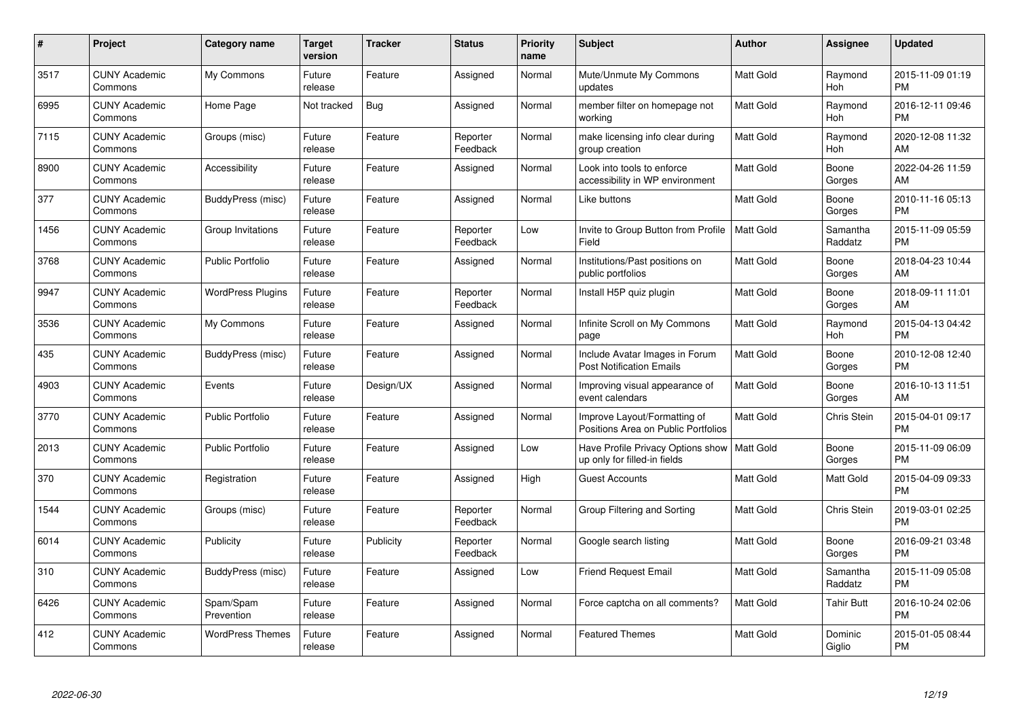| $\pmb{\#}$ | Project                         | <b>Category name</b>     | <b>Target</b><br>version | <b>Tracker</b> | <b>Status</b>        | Priority<br>name | <b>Subject</b>                                                      | <b>Author</b>    | <b>Assignee</b>     | <b>Updated</b>                |
|------------|---------------------------------|--------------------------|--------------------------|----------------|----------------------|------------------|---------------------------------------------------------------------|------------------|---------------------|-------------------------------|
| 3517       | <b>CUNY Academic</b><br>Commons | My Commons               | Future<br>release        | Feature        | Assigned             | Normal           | Mute/Unmute My Commons<br>updates                                   | <b>Matt Gold</b> | Raymond<br>Hoh      | 2015-11-09 01:19<br><b>PM</b> |
| 6995       | <b>CUNY Academic</b><br>Commons | Home Page                | Not tracked              | Bug            | Assigned             | Normal           | member filter on homepage not<br>working                            | <b>Matt Gold</b> | Raymond<br>Hoh      | 2016-12-11 09:46<br><b>PM</b> |
| 7115       | <b>CUNY Academic</b><br>Commons | Groups (misc)            | Future<br>release        | Feature        | Reporter<br>Feedback | Normal           | make licensing info clear during<br>group creation                  | Matt Gold        | Raymond<br>Hoh      | 2020-12-08 11:32<br>AM        |
| 8900       | <b>CUNY Academic</b><br>Commons | Accessibility            | Future<br>release        | Feature        | Assigned             | Normal           | Look into tools to enforce<br>accessibility in WP environment       | Matt Gold        | Boone<br>Gorges     | 2022-04-26 11:59<br>AM        |
| 377        | <b>CUNY Academic</b><br>Commons | BuddyPress (misc)        | Future<br>release        | Feature        | Assigned             | Normal           | Like buttons                                                        | Matt Gold        | Boone<br>Gorges     | 2010-11-16 05:13<br><b>PM</b> |
| 1456       | <b>CUNY Academic</b><br>Commons | Group Invitations        | Future<br>release        | Feature        | Reporter<br>Feedback | Low              | Invite to Group Button from Profile<br>Field                        | <b>Matt Gold</b> | Samantha<br>Raddatz | 2015-11-09 05:59<br><b>PM</b> |
| 3768       | <b>CUNY Academic</b><br>Commons | <b>Public Portfolio</b>  | Future<br>release        | Feature        | Assigned             | Normal           | Institutions/Past positions on<br>public portfolios                 | Matt Gold        | Boone<br>Gorges     | 2018-04-23 10:44<br>AM        |
| 9947       | <b>CUNY Academic</b><br>Commons | <b>WordPress Plugins</b> | Future<br>release        | Feature        | Reporter<br>Feedback | Normal           | Install H5P quiz plugin                                             | <b>Matt Gold</b> | Boone<br>Gorges     | 2018-09-11 11:01<br>AM        |
| 3536       | <b>CUNY Academic</b><br>Commons | My Commons               | Future<br>release        | Feature        | Assigned             | Normal           | Infinite Scroll on My Commons<br>page                               | Matt Gold        | Raymond<br>Hoh      | 2015-04-13 04:42<br><b>PM</b> |
| 435        | <b>CUNY Academic</b><br>Commons | BuddyPress (misc)        | Future<br>release        | Feature        | Assigned             | Normal           | Include Avatar Images in Forum<br><b>Post Notification Emails</b>   | <b>Matt Gold</b> | Boone<br>Gorges     | 2010-12-08 12:40<br><b>PM</b> |
| 4903       | <b>CUNY Academic</b><br>Commons | Events                   | Future<br>release        | Design/UX      | Assigned             | Normal           | Improving visual appearance of<br>event calendars                   | Matt Gold        | Boone<br>Gorges     | 2016-10-13 11:51<br>AM        |
| 3770       | <b>CUNY Academic</b><br>Commons | <b>Public Portfolio</b>  | Future<br>release        | Feature        | Assigned             | Normal           | Improve Layout/Formatting of<br>Positions Area on Public Portfolios | Matt Gold        | <b>Chris Stein</b>  | 2015-04-01 09:17<br><b>PM</b> |
| 2013       | <b>CUNY Academic</b><br>Commons | <b>Public Portfolio</b>  | Future<br>release        | Feature        | Assigned             | Low              | Have Profile Privacy Options show<br>up only for filled-in fields   | Matt Gold        | Boone<br>Gorges     | 2015-11-09 06:09<br><b>PM</b> |
| 370        | <b>CUNY Academic</b><br>Commons | Registration             | Future<br>release        | Feature        | Assigned             | High             | <b>Guest Accounts</b>                                               | Matt Gold        | Matt Gold           | 2015-04-09 09:33<br><b>PM</b> |
| 1544       | <b>CUNY Academic</b><br>Commons | Groups (misc)            | Future<br>release        | Feature        | Reporter<br>Feedback | Normal           | Group Filtering and Sorting                                         | <b>Matt Gold</b> | <b>Chris Stein</b>  | 2019-03-01 02:25<br><b>PM</b> |
| 6014       | <b>CUNY Academic</b><br>Commons | Publicity                | Future<br>release        | Publicity      | Reporter<br>Feedback | Normal           | Google search listing                                               | <b>Matt Gold</b> | Boone<br>Gorges     | 2016-09-21 03:48<br><b>PM</b> |
| 310        | <b>CUNY Academic</b><br>Commons | BuddyPress (misc)        | Future<br>release        | Feature        | Assigned             | Low              | <b>Friend Request Email</b>                                         | <b>Matt Gold</b> | Samantha<br>Raddatz | 2015-11-09 05:08<br><b>PM</b> |
| 6426       | <b>CUNY Academic</b><br>Commons | Spam/Spam<br>Prevention  | Future<br>release        | Feature        | Assigned             | Normal           | Force captcha on all comments?                                      | <b>Matt Gold</b> | Tahir Butt          | 2016-10-24 02:06<br><b>PM</b> |
| 412        | CUNY Academic<br>Commons        | <b>WordPress Themes</b>  | Future<br>release        | Feature        | Assigned             | Normal           | <b>Featured Themes</b>                                              | <b>Matt Gold</b> | Dominic<br>Giglio   | 2015-01-05 08:44<br><b>PM</b> |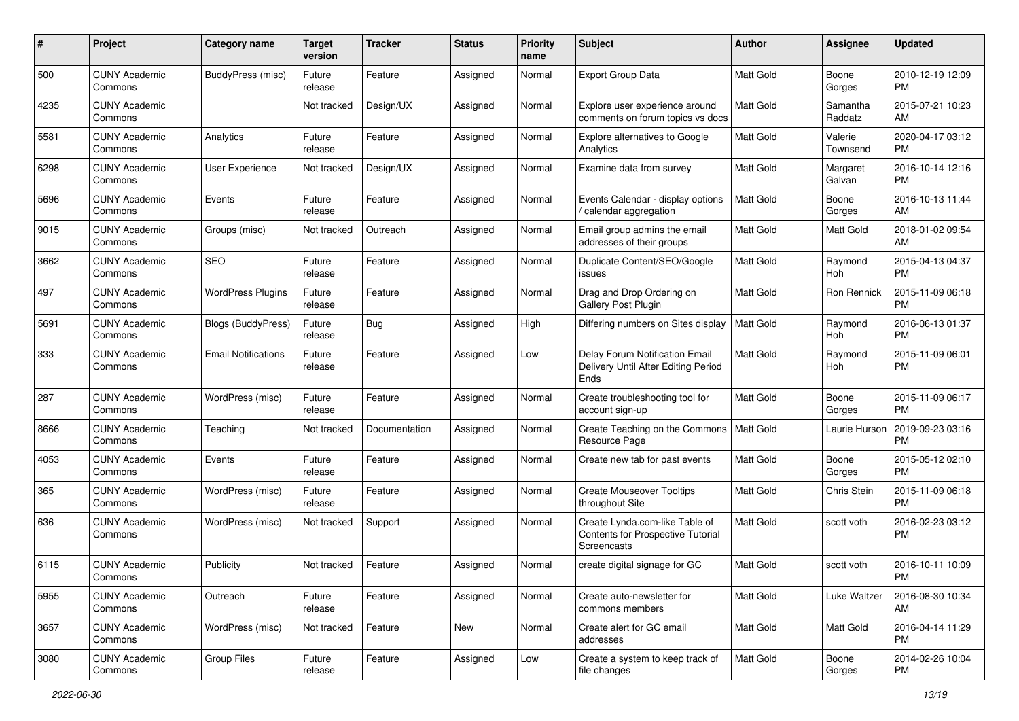| #    | Project                         | <b>Category name</b>       | <b>Target</b><br>version | <b>Tracker</b> | <b>Status</b> | <b>Priority</b><br>name | <b>Subject</b>                                                                            | <b>Author</b>    | <b>Assignee</b>     | <b>Updated</b>                |
|------|---------------------------------|----------------------------|--------------------------|----------------|---------------|-------------------------|-------------------------------------------------------------------------------------------|------------------|---------------------|-------------------------------|
| 500  | <b>CUNY Academic</b><br>Commons | <b>BuddyPress (misc)</b>   | Future<br>release        | Feature        | Assigned      | Normal                  | Export Group Data                                                                         | <b>Matt Gold</b> | Boone<br>Gorges     | 2010-12-19 12:09<br>PM.       |
| 4235 | <b>CUNY Academic</b><br>Commons |                            | Not tracked              | Design/UX      | Assigned      | Normal                  | Explore user experience around<br>comments on forum topics vs docs                        | <b>Matt Gold</b> | Samantha<br>Raddatz | 2015-07-21 10:23<br>AM.       |
| 5581 | <b>CUNY Academic</b><br>Commons | Analytics                  | Future<br>release        | Feature        | Assigned      | Normal                  | <b>Explore alternatives to Google</b><br>Analytics                                        | Matt Gold        | Valerie<br>Townsend | 2020-04-17 03:12<br><b>PM</b> |
| 6298 | <b>CUNY Academic</b><br>Commons | User Experience            | Not tracked              | Design/UX      | Assigned      | Normal                  | Examine data from survey                                                                  | <b>Matt Gold</b> | Margaret<br>Galvan  | 2016-10-14 12:16<br><b>PM</b> |
| 5696 | <b>CUNY Academic</b><br>Commons | Events                     | Future<br>release        | Feature        | Assigned      | Normal                  | Events Calendar - display options<br>/ calendar aggregation                               | <b>Matt Gold</b> | Boone<br>Gorges     | 2016-10-13 11:44<br>AM        |
| 9015 | <b>CUNY Academic</b><br>Commons | Groups (misc)              | Not tracked              | Outreach       | Assigned      | Normal                  | Email group admins the email<br>addresses of their groups                                 | <b>Matt Gold</b> | Matt Gold           | 2018-01-02 09:54<br>AM.       |
| 3662 | <b>CUNY Academic</b><br>Commons | <b>SEO</b>                 | Future<br>release        | Feature        | Assigned      | Normal                  | Duplicate Content/SEO/Google<br>issues                                                    | Matt Gold        | Raymond<br>Hoh      | 2015-04-13 04:37<br>PM.       |
| 497  | <b>CUNY Academic</b><br>Commons | <b>WordPress Plugins</b>   | Future<br>release        | Feature        | Assigned      | Normal                  | Drag and Drop Ordering on<br><b>Gallery Post Plugin</b>                                   | <b>Matt Gold</b> | Ron Rennick         | 2015-11-09 06:18<br>PM.       |
| 5691 | <b>CUNY Academic</b><br>Commons | <b>Blogs (BuddyPress)</b>  | Future<br>release        | Bug            | Assigned      | High                    | Differing numbers on Sites display                                                        | <b>Matt Gold</b> | Raymond<br>Hoh      | 2016-06-13 01:37<br><b>PM</b> |
| 333  | <b>CUNY Academic</b><br>Commons | <b>Email Notifications</b> | Future<br>release        | Feature        | Assigned      | Low                     | Delay Forum Notification Email<br>Delivery Until After Editing Period<br>Ends             | <b>Matt Gold</b> | Raymond<br>Hoh      | 2015-11-09 06:01<br><b>PM</b> |
| 287  | <b>CUNY Academic</b><br>Commons | WordPress (misc)           | Future<br>release        | Feature        | Assigned      | Normal                  | Create troubleshooting tool for<br>account sign-up                                        | Matt Gold        | Boone<br>Gorges     | 2015-11-09 06:17<br><b>PM</b> |
| 8666 | <b>CUNY Academic</b><br>Commons | Teaching                   | Not tracked              | Documentation  | Assigned      | Normal                  | Create Teaching on the Commons<br>Resource Page                                           | <b>Matt Gold</b> | Laurie Hurson       | 2019-09-23 03:16<br><b>PM</b> |
| 4053 | <b>CUNY Academic</b><br>Commons | Events                     | Future<br>release        | Feature        | Assigned      | Normal                  | Create new tab for past events                                                            | <b>Matt Gold</b> | Boone<br>Gorges     | 2015-05-12 02:10<br><b>PM</b> |
| 365  | <b>CUNY Academic</b><br>Commons | WordPress (misc)           | Future<br>release        | Feature        | Assigned      | Normal                  | <b>Create Mouseover Tooltips</b><br>throughout Site                                       | <b>Matt Gold</b> | Chris Stein         | 2015-11-09 06:18<br><b>PM</b> |
| 636  | <b>CUNY Academic</b><br>Commons | WordPress (misc)           | Not tracked              | Support        | Assigned      | Normal                  | Create Lynda.com-like Table of<br><b>Contents for Prospective Tutorial</b><br>Screencasts | Matt Gold        | scott voth          | 2016-02-23 03:12<br><b>PM</b> |
| 6115 | <b>CUNY Academic</b><br>Commons | Publicity                  | Not tracked              | Feature        | Assigned      | Normal                  | create digital signage for GC                                                             | Matt Gold        | scott voth          | 2016-10-11 10:09<br>PM        |
| 5955 | <b>CUNY Academic</b><br>Commons | Outreach                   | Future<br>release        | Feature        | Assigned      | Normal                  | Create auto-newsletter for<br>commons members                                             | Matt Gold        | Luke Waltzer        | 2016-08-30 10:34<br>AM        |
| 3657 | <b>CUNY Academic</b><br>Commons | WordPress (misc)           | Not tracked              | Feature        | New           | Normal                  | Create alert for GC email<br>addresses                                                    | Matt Gold        | Matt Gold           | 2016-04-14 11:29<br><b>PM</b> |
| 3080 | <b>CUNY Academic</b><br>Commons | Group Files                | Future<br>release        | Feature        | Assigned      | Low                     | Create a system to keep track of<br>file changes                                          | Matt Gold        | Boone<br>Gorges     | 2014-02-26 10:04<br><b>PM</b> |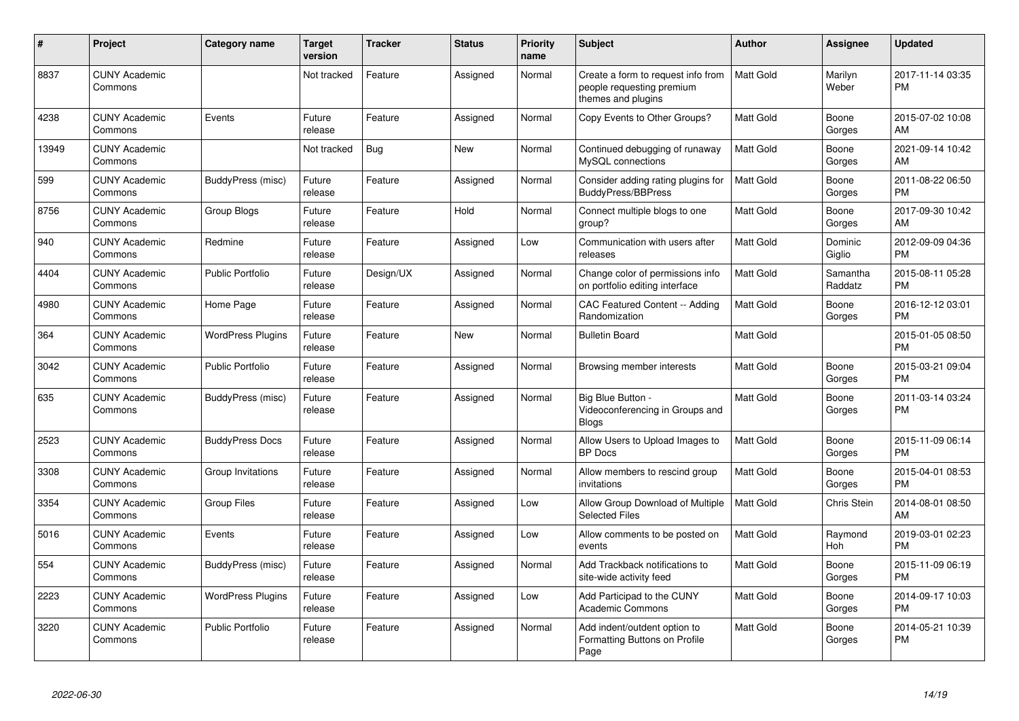| #     | Project                         | Category name            | <b>Target</b><br>version | <b>Tracker</b> | <b>Status</b> | <b>Priority</b><br>name | <b>Subject</b>                                                                        | <b>Author</b>    | Assignee            | <b>Updated</b>                |
|-------|---------------------------------|--------------------------|--------------------------|----------------|---------------|-------------------------|---------------------------------------------------------------------------------------|------------------|---------------------|-------------------------------|
| 8837  | <b>CUNY Academic</b><br>Commons |                          | Not tracked              | Feature        | Assigned      | Normal                  | Create a form to request info from<br>people requesting premium<br>themes and plugins | Matt Gold        | Marilyn<br>Weber    | 2017-11-14 03:35<br><b>PM</b> |
| 4238  | <b>CUNY Academic</b><br>Commons | Events                   | Future<br>release        | Feature        | Assigned      | Normal                  | Copy Events to Other Groups?                                                          | <b>Matt Gold</b> | Boone<br>Gorges     | 2015-07-02 10:08<br>AM        |
| 13949 | <b>CUNY Academic</b><br>Commons |                          | Not tracked              | Bug            | New           | Normal                  | Continued debugging of runaway<br>MySQL connections                                   | Matt Gold        | Boone<br>Gorges     | 2021-09-14 10:42<br>AM        |
| 599   | <b>CUNY Academic</b><br>Commons | BuddyPress (misc)        | Future<br>release        | Feature        | Assigned      | Normal                  | Consider adding rating plugins for<br><b>BuddyPress/BBPress</b>                       | <b>Matt Gold</b> | Boone<br>Gorges     | 2011-08-22 06:50<br><b>PM</b> |
| 8756  | <b>CUNY Academic</b><br>Commons | Group Blogs              | Future<br>release        | Feature        | Hold          | Normal                  | Connect multiple blogs to one<br>group?                                               | <b>Matt Gold</b> | Boone<br>Gorges     | 2017-09-30 10:42<br>AM        |
| 940   | <b>CUNY Academic</b><br>Commons | Redmine                  | Future<br>release        | Feature        | Assigned      | Low                     | Communication with users after<br>releases                                            | <b>Matt Gold</b> | Dominic<br>Giglio   | 2012-09-09 04:36<br><b>PM</b> |
| 4404  | <b>CUNY Academic</b><br>Commons | Public Portfolio         | Future<br>release        | Design/UX      | Assigned      | Normal                  | Change color of permissions info<br>on portfolio editing interface                    | <b>Matt Gold</b> | Samantha<br>Raddatz | 2015-08-11 05:28<br><b>PM</b> |
| 4980  | <b>CUNY Academic</b><br>Commons | Home Page                | Future<br>release        | Feature        | Assigned      | Normal                  | CAC Featured Content -- Adding<br>Randomization                                       | Matt Gold        | Boone<br>Gorges     | 2016-12-12 03:01<br><b>PM</b> |
| 364   | <b>CUNY Academic</b><br>Commons | <b>WordPress Plugins</b> | Future<br>release        | Feature        | <b>New</b>    | Normal                  | <b>Bulletin Board</b>                                                                 | <b>Matt Gold</b> |                     | 2015-01-05 08:50<br><b>PM</b> |
| 3042  | <b>CUNY Academic</b><br>Commons | <b>Public Portfolio</b>  | Future<br>release        | Feature        | Assigned      | Normal                  | Browsing member interests                                                             | <b>Matt Gold</b> | Boone<br>Gorges     | 2015-03-21 09:04<br><b>PM</b> |
| 635   | <b>CUNY Academic</b><br>Commons | BuddyPress (misc)        | Future<br>release        | Feature        | Assigned      | Normal                  | Big Blue Button -<br>Videoconferencing in Groups and<br><b>Blogs</b>                  | <b>Matt Gold</b> | Boone<br>Gorges     | 2011-03-14 03:24<br><b>PM</b> |
| 2523  | <b>CUNY Academic</b><br>Commons | <b>BuddyPress Docs</b>   | Future<br>release        | Feature        | Assigned      | Normal                  | Allow Users to Upload Images to<br><b>BP</b> Docs                                     | <b>Matt Gold</b> | Boone<br>Gorges     | 2015-11-09 06:14<br><b>PM</b> |
| 3308  | <b>CUNY Academic</b><br>Commons | Group Invitations        | Future<br>release        | Feature        | Assigned      | Normal                  | Allow members to rescind group<br>invitations                                         | Matt Gold        | Boone<br>Gorges     | 2015-04-01 08:53<br><b>PM</b> |
| 3354  | <b>CUNY Academic</b><br>Commons | Group Files              | Future<br>release        | Feature        | Assigned      | Low                     | Allow Group Download of Multiple<br><b>Selected Files</b>                             | <b>Matt Gold</b> | Chris Stein         | 2014-08-01 08:50<br>AM        |
| 5016  | <b>CUNY Academic</b><br>Commons | Events                   | Future<br>release        | Feature        | Assigned      | Low                     | Allow comments to be posted on<br>events                                              | Matt Gold        | Raymond<br>Hoh      | 2019-03-01 02:23<br><b>PM</b> |
| 554   | <b>CUNY Academic</b><br>Commons | BuddyPress (misc)        | Future<br>release        | Feature        | Assigned      | Normal                  | Add Trackback notifications to<br>site-wide activity feed                             | <b>Matt Gold</b> | Boone<br>Gorges     | 2015-11-09 06:19<br><b>PM</b> |
| 2223  | <b>CUNY Academic</b><br>Commons | <b>WordPress Plugins</b> | Future<br>release        | Feature        | Assigned      | Low                     | Add Participad to the CUNY<br><b>Academic Commons</b>                                 | <b>Matt Gold</b> | Boone<br>Gorges     | 2014-09-17 10:03<br><b>PM</b> |
| 3220  | <b>CUNY Academic</b><br>Commons | <b>Public Portfolio</b>  | Future<br>release        | Feature        | Assigned      | Normal                  | Add indent/outdent option to<br>Formatting Buttons on Profile<br>Page                 | <b>Matt Gold</b> | Boone<br>Gorges     | 2014-05-21 10:39<br><b>PM</b> |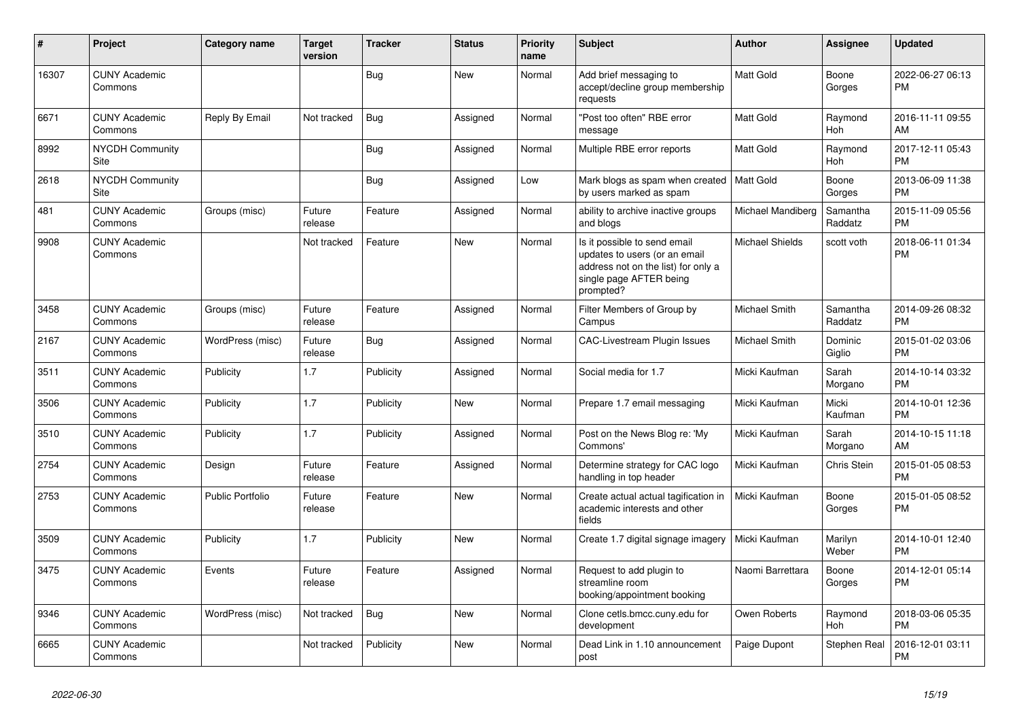| #     | Project                               | Category name    | <b>Target</b><br>version | <b>Tracker</b> | <b>Status</b> | <b>Priority</b><br>name | <b>Subject</b>                                                                                                                               | <b>Author</b>        | <b>Assignee</b>     | <b>Updated</b>                |
|-------|---------------------------------------|------------------|--------------------------|----------------|---------------|-------------------------|----------------------------------------------------------------------------------------------------------------------------------------------|----------------------|---------------------|-------------------------------|
| 16307 | <b>CUNY Academic</b><br>Commons       |                  |                          | Bug            | <b>New</b>    | Normal                  | Add brief messaging to<br>accept/decline group membership<br>requests                                                                        | Matt Gold            | Boone<br>Gorges     | 2022-06-27 06:13<br><b>PM</b> |
| 6671  | <b>CUNY Academic</b><br>Commons       | Reply By Email   | Not tracked              | <b>Bug</b>     | Assigned      | Normal                  | "Post too often" RBE error<br>message                                                                                                        | <b>Matt Gold</b>     | Raymond<br>Hoh      | 2016-11-11 09:55<br>AM        |
| 8992  | <b>NYCDH Community</b><br>Site        |                  |                          | Bug            | Assigned      | Normal                  | Multiple RBE error reports                                                                                                                   | <b>Matt Gold</b>     | Raymond<br>Hoh      | 2017-12-11 05:43<br><b>PM</b> |
| 2618  | <b>NYCDH Community</b><br><b>Site</b> |                  |                          | Bug            | Assigned      | Low                     | Mark blogs as spam when created<br>by users marked as spam                                                                                   | Matt Gold            | Boone<br>Gorges     | 2013-06-09 11:38<br><b>PM</b> |
| 481   | <b>CUNY Academic</b><br>Commons       | Groups (misc)    | Future<br>release        | Feature        | Assigned      | Normal                  | ability to archive inactive groups<br>and blogs                                                                                              | Michael Mandiberg    | Samantha<br>Raddatz | 2015-11-09 05:56<br><b>PM</b> |
| 9908  | <b>CUNY Academic</b><br>Commons       |                  | Not tracked              | Feature        | <b>New</b>    | Normal                  | Is it possible to send email<br>updates to users (or an email<br>address not on the list) for only a<br>single page AFTER being<br>prompted? | Michael Shields      | scott voth          | 2018-06-11 01:34<br><b>PM</b> |
| 3458  | <b>CUNY Academic</b><br>Commons       | Groups (misc)    | Future<br>release        | Feature        | Assigned      | Normal                  | Filter Members of Group by<br>Campus                                                                                                         | Michael Smith        | Samantha<br>Raddatz | 2014-09-26 08:32<br>PM        |
| 2167  | <b>CUNY Academic</b><br>Commons       | WordPress (misc) | Future<br>release        | Bug            | Assigned      | Normal                  | <b>CAC-Livestream Plugin Issues</b>                                                                                                          | <b>Michael Smith</b> | Dominic<br>Giglio   | 2015-01-02 03:06<br><b>PM</b> |
| 3511  | <b>CUNY Academic</b><br>Commons       | Publicity        | 1.7                      | Publicity      | Assigned      | Normal                  | Social media for 1.7                                                                                                                         | Micki Kaufman        | Sarah<br>Morgano    | 2014-10-14 03:32<br><b>PM</b> |
| 3506  | <b>CUNY Academic</b><br>Commons       | Publicity        | 1.7                      | Publicity      | <b>New</b>    | Normal                  | Prepare 1.7 email messaging                                                                                                                  | Micki Kaufman        | Micki<br>Kaufman    | 2014-10-01 12:36<br><b>PM</b> |
| 3510  | <b>CUNY Academic</b><br>Commons       | Publicity        | 1.7                      | Publicity      | Assigned      | Normal                  | Post on the News Blog re: 'My<br>Commons'                                                                                                    | Micki Kaufman        | Sarah<br>Morgano    | 2014-10-15 11:18<br>AM        |
| 2754  | <b>CUNY Academic</b><br>Commons       | Design           | Future<br>release        | Feature        | Assigned      | Normal                  | Determine strategy for CAC logo<br>handling in top header                                                                                    | Micki Kaufman        | Chris Stein         | 2015-01-05 08:53<br><b>PM</b> |
| 2753  | <b>CUNY Academic</b><br>Commons       | Public Portfolio | Future<br>release        | Feature        | New           | Normal                  | Create actual actual tagification in<br>academic interests and other<br>fields                                                               | Micki Kaufman        | Boone<br>Gorges     | 2015-01-05 08:52<br><b>PM</b> |
| 3509  | <b>CUNY Academic</b><br>Commons       | Publicity        | 1.7                      | Publicity      | <b>New</b>    | Normal                  | Create 1.7 digital signage imagery                                                                                                           | Micki Kaufman        | Marilyn<br>Weber    | 2014-10-01 12:40<br><b>PM</b> |
| 3475  | <b>CUNY Academic</b><br>Commons       | Events           | Future<br>release        | Feature        | Assigned      | Normal                  | Request to add plugin to<br>streamline room<br>booking/appointment booking                                                                   | Naomi Barrettara     | Boone<br>Gorges     | 2014-12-01 05:14<br><b>PM</b> |
| 9346  | <b>CUNY Academic</b><br>Commons       | WordPress (misc) | Not tracked              | Bug            | <b>New</b>    | Normal                  | Clone cetls.bmcc.cuny.edu for<br>development                                                                                                 | Owen Roberts         | Raymond<br>Hoh      | 2018-03-06 05:35<br>PM        |
| 6665  | <b>CUNY Academic</b><br>Commons       |                  | Not tracked              | Publicity      | New           | Normal                  | Dead Link in 1.10 announcement<br>post                                                                                                       | Paige Dupont         | Stephen Real        | 2016-12-01 03:11<br>PM        |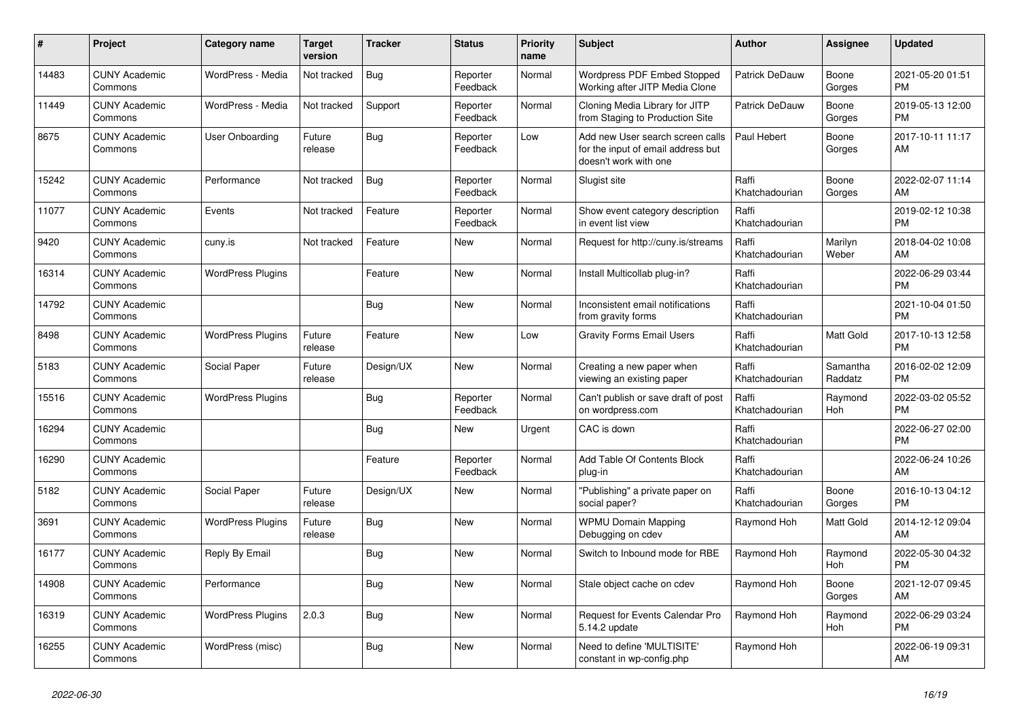| #     | Project                         | <b>Category name</b>     | <b>Target</b><br>version | <b>Tracker</b> | <b>Status</b>        | <b>Priority</b><br>name | <b>Subject</b>                                                                                  | <b>Author</b>           | Assignee            | <b>Updated</b>                |
|-------|---------------------------------|--------------------------|--------------------------|----------------|----------------------|-------------------------|-------------------------------------------------------------------------------------------------|-------------------------|---------------------|-------------------------------|
| 14483 | <b>CUNY Academic</b><br>Commons | WordPress - Media        | Not tracked              | Bug            | Reporter<br>Feedback | Normal                  | Wordpress PDF Embed Stopped<br>Working after JITP Media Clone                                   | <b>Patrick DeDauw</b>   | Boone<br>Gorges     | 2021-05-20 01:51<br><b>PM</b> |
| 11449 | <b>CUNY Academic</b><br>Commons | WordPress - Media        | Not tracked              | Support        | Reporter<br>Feedback | Normal                  | Cloning Media Library for JITP<br>from Staging to Production Site                               | Patrick DeDauw          | Boone<br>Gorges     | 2019-05-13 12:00<br><b>PM</b> |
| 8675  | <b>CUNY Academic</b><br>Commons | User Onboarding          | Future<br>release        | Bug            | Reporter<br>Feedback | Low                     | Add new User search screen calls<br>for the input of email address but<br>doesn't work with one | Paul Hebert             | Boone<br>Gorges     | 2017-10-11 11:17<br>AM        |
| 15242 | <b>CUNY Academic</b><br>Commons | Performance              | Not tracked              | Bug            | Reporter<br>Feedback | Normal                  | Slugist site                                                                                    | Raffi<br>Khatchadourian | Boone<br>Gorges     | 2022-02-07 11:14<br><b>AM</b> |
| 11077 | <b>CUNY Academic</b><br>Commons | Events                   | Not tracked              | Feature        | Reporter<br>Feedback | Normal                  | Show event category description<br>in event list view                                           | Raffi<br>Khatchadourian |                     | 2019-02-12 10:38<br><b>PM</b> |
| 9420  | <b>CUNY Academic</b><br>Commons | cuny.is                  | Not tracked              | Feature        | New                  | Normal                  | Request for http://cuny.is/streams                                                              | Raffi<br>Khatchadourian | Marilyn<br>Weber    | 2018-04-02 10:08<br>AM        |
| 16314 | <b>CUNY Academic</b><br>Commons | <b>WordPress Plugins</b> |                          | Feature        | <b>New</b>           | Normal                  | Install Multicollab plug-in?                                                                    | Raffi<br>Khatchadourian |                     | 2022-06-29 03:44<br><b>PM</b> |
| 14792 | <b>CUNY Academic</b><br>Commons |                          |                          | Bug            | <b>New</b>           | Normal                  | Inconsistent email notifications<br>from gravity forms                                          | Raffi<br>Khatchadourian |                     | 2021-10-04 01:50<br><b>PM</b> |
| 8498  | <b>CUNY Academic</b><br>Commons | <b>WordPress Plugins</b> | Future<br>release        | Feature        | New                  | Low                     | <b>Gravity Forms Email Users</b>                                                                | Raffi<br>Khatchadourian | Matt Gold           | 2017-10-13 12:58<br><b>PM</b> |
| 5183  | <b>CUNY Academic</b><br>Commons | Social Paper             | Future<br>release        | Design/UX      | <b>New</b>           | Normal                  | Creating a new paper when<br>viewing an existing paper                                          | Raffi<br>Khatchadourian | Samantha<br>Raddatz | 2016-02-02 12:09<br><b>PM</b> |
| 15516 | <b>CUNY Academic</b><br>Commons | <b>WordPress Plugins</b> |                          | Bug            | Reporter<br>Feedback | Normal                  | Can't publish or save draft of post<br>on wordpress.com                                         | Raffi<br>Khatchadourian | Raymond<br>Hoh      | 2022-03-02 05:52<br><b>PM</b> |
| 16294 | <b>CUNY Academic</b><br>Commons |                          |                          | Bug            | New                  | Urgent                  | CAC is down                                                                                     | Raffi<br>Khatchadourian |                     | 2022-06-27 02:00<br><b>PM</b> |
| 16290 | <b>CUNY Academic</b><br>Commons |                          |                          | Feature        | Reporter<br>Feedback | Normal                  | Add Table Of Contents Block<br>plug-in                                                          | Raffi<br>Khatchadourian |                     | 2022-06-24 10:26<br>AM        |
| 5182  | <b>CUNY Academic</b><br>Commons | Social Paper             | Future<br>release        | Design/UX      | New                  | Normal                  | "Publishing" a private paper on<br>social paper?                                                | Raffi<br>Khatchadourian | Boone<br>Gorges     | 2016-10-13 04:12<br>PM        |
| 3691  | <b>CUNY Academic</b><br>Commons | <b>WordPress Plugins</b> | Future<br>release        | Bug            | <b>New</b>           | Normal                  | <b>WPMU Domain Mapping</b><br>Debugging on cdev                                                 | Raymond Hoh             | Matt Gold           | 2014-12-12 09:04<br><b>AM</b> |
| 16177 | <b>CUNY Academic</b><br>Commons | Reply By Email           |                          | Bug            | <b>New</b>           | Normal                  | Switch to Inbound mode for RBE                                                                  | Raymond Hoh             | Raymond<br>Hoh      | 2022-05-30 04:32<br><b>PM</b> |
| 14908 | <b>CUNY Academic</b><br>Commons | Performance              |                          | Bug            | <b>New</b>           | Normal                  | Stale object cache on cdev                                                                      | Raymond Hoh             | Boone<br>Gorges     | 2021-12-07 09:45<br>AM        |
| 16319 | <b>CUNY Academic</b><br>Commons | <b>WordPress Plugins</b> | 2.0.3                    | Bug            | New                  | Normal                  | Request for Events Calendar Pro<br>5.14.2 update                                                | Raymond Hoh             | Raymond<br>Hoh      | 2022-06-29 03:24<br><b>PM</b> |
| 16255 | <b>CUNY Academic</b><br>Commons | WordPress (misc)         |                          | <b>Bug</b>     | <b>New</b>           | Normal                  | Need to define 'MULTISITE'<br>constant in wp-config.php                                         | Raymond Hoh             |                     | 2022-06-19 09:31<br>AM        |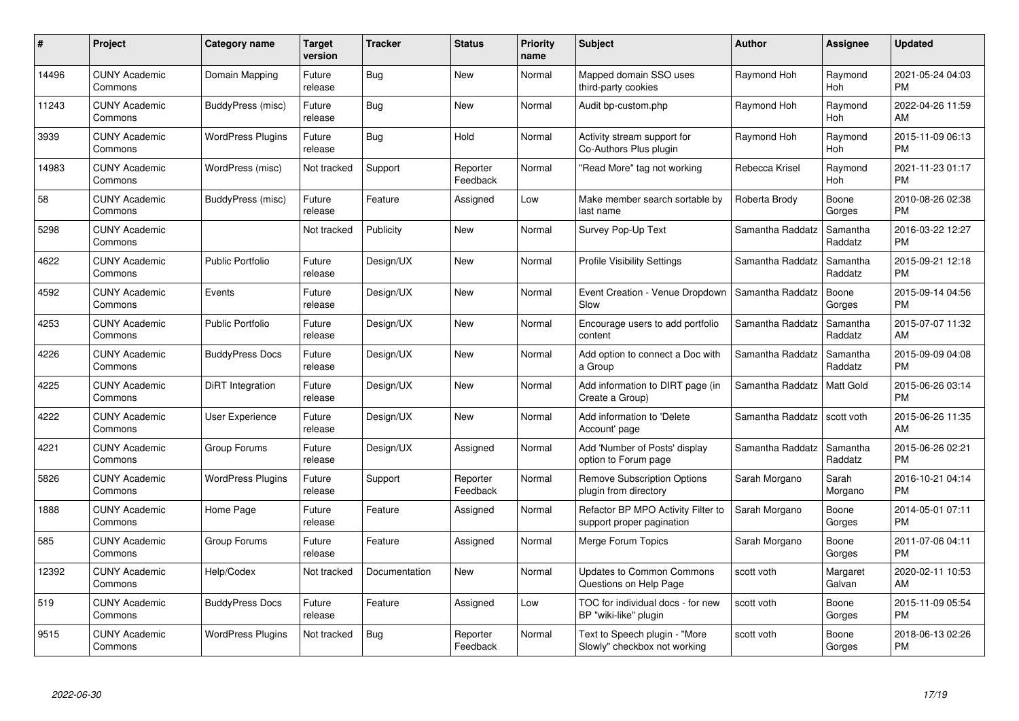| #     | Project                         | <b>Category name</b>     | Target<br>version | <b>Tracker</b> | <b>Status</b>        | Priority<br>name | <b>Subject</b>                                                  | <b>Author</b>    | <b>Assignee</b>     | <b>Updated</b>                |
|-------|---------------------------------|--------------------------|-------------------|----------------|----------------------|------------------|-----------------------------------------------------------------|------------------|---------------------|-------------------------------|
| 14496 | <b>CUNY Academic</b><br>Commons | Domain Mapping           | Future<br>release | Bug            | <b>New</b>           | Normal           | Mapped domain SSO uses<br>third-party cookies                   | Raymond Hoh      | Raymond<br>Hoh      | 2021-05-24 04:03<br><b>PM</b> |
| 11243 | <b>CUNY Academic</b><br>Commons | BuddyPress (misc)        | Future<br>release | Bug            | <b>New</b>           | Normal           | Audit bp-custom.php                                             | Raymond Hoh      | Raymond<br>Hoh      | 2022-04-26 11:59<br><b>AM</b> |
| 3939  | <b>CUNY Academic</b><br>Commons | <b>WordPress Plugins</b> | Future<br>release | <b>Bug</b>     | Hold                 | Normal           | Activity stream support for<br>Co-Authors Plus plugin           | Raymond Hoh      | Raymond<br>Hoh      | 2015-11-09 06:13<br><b>PM</b> |
| 14983 | <b>CUNY Academic</b><br>Commons | WordPress (misc)         | Not tracked       | Support        | Reporter<br>Feedback | Normal           | "Read More" tag not working                                     | Rebecca Krisel   | Raymond<br>Hoh      | 2021-11-23 01:17<br><b>PM</b> |
| 58    | <b>CUNY Academic</b><br>Commons | BuddyPress (misc)        | Future<br>release | Feature        | Assigned             | Low              | Make member search sortable by<br>last name                     | Roberta Brody    | Boone<br>Gorges     | 2010-08-26 02:38<br><b>PM</b> |
| 5298  | <b>CUNY Academic</b><br>Commons |                          | Not tracked       | Publicity      | New                  | Normal           | Survey Pop-Up Text                                              | Samantha Raddatz | Samantha<br>Raddatz | 2016-03-22 12:27<br><b>PM</b> |
| 4622  | <b>CUNY Academic</b><br>Commons | <b>Public Portfolio</b>  | Future<br>release | Design/UX      | <b>New</b>           | Normal           | <b>Profile Visibility Settings</b>                              | Samantha Raddatz | Samantha<br>Raddatz | 2015-09-21 12:18<br><b>PM</b> |
| 4592  | <b>CUNY Academic</b><br>Commons | Events                   | Future<br>release | Design/UX      | <b>New</b>           | Normal           | Event Creation - Venue Dropdown<br>Slow                         | Samantha Raddatz | Boone<br>Gorges     | 2015-09-14 04:56<br><b>PM</b> |
| 4253  | <b>CUNY Academic</b><br>Commons | <b>Public Portfolio</b>  | Future<br>release | Design/UX      | New                  | Normal           | Encourage users to add portfolio<br>content                     | Samantha Raddatz | Samantha<br>Raddatz | 2015-07-07 11:32<br>AM        |
| 4226  | <b>CUNY Academic</b><br>Commons | <b>BuddyPress Docs</b>   | Future<br>release | Design/UX      | <b>New</b>           | Normal           | Add option to connect a Doc with<br>a Group                     | Samantha Raddatz | Samantha<br>Raddatz | 2015-09-09 04:08<br>PM        |
| 4225  | <b>CUNY Academic</b><br>Commons | DiRT Integration         | Future<br>release | Design/UX      | New                  | Normal           | Add information to DIRT page (in<br>Create a Group)             | Samantha Raddatz | Matt Gold           | 2015-06-26 03:14<br><b>PM</b> |
| 4222  | <b>CUNY Academic</b><br>Commons | <b>User Experience</b>   | Future<br>release | Design/UX      | New                  | Normal           | Add information to 'Delete<br>Account' page                     | Samantha Raddatz | scott voth          | 2015-06-26 11:35<br>AM        |
| 4221  | <b>CUNY Academic</b><br>Commons | Group Forums             | Future<br>release | Design/UX      | Assigned             | Normal           | Add 'Number of Posts' display<br>option to Forum page           | Samantha Raddatz | Samantha<br>Raddatz | 2015-06-26 02:21<br>PM.       |
| 5826  | <b>CUNY Academic</b><br>Commons | <b>WordPress Plugins</b> | Future<br>release | Support        | Reporter<br>Feedback | Normal           | <b>Remove Subscription Options</b><br>plugin from directory     | Sarah Morgano    | Sarah<br>Morgano    | 2016-10-21 04:14<br><b>PM</b> |
| 1888  | <b>CUNY Academic</b><br>Commons | Home Page                | Future<br>release | Feature        | Assigned             | Normal           | Refactor BP MPO Activity Filter to<br>support proper pagination | Sarah Morgano    | Boone<br>Gorges     | 2014-05-01 07:11<br><b>PM</b> |
| 585   | <b>CUNY Academic</b><br>Commons | Group Forums             | Future<br>release | Feature        | Assigned             | Normal           | Merge Forum Topics                                              | Sarah Morgano    | Boone<br>Gorges     | 2011-07-06 04:11<br><b>PM</b> |
| 12392 | <b>CUNY Academic</b><br>Commons | Help/Codex               | Not tracked       | Documentation  | New                  | Normal           | <b>Updates to Common Commons</b><br>Questions on Help Page      | scott voth       | Margaret<br>Galvan  | 2020-02-11 10:53<br><b>AM</b> |
| 519   | <b>CUNY Academic</b><br>Commons | <b>BuddyPress Docs</b>   | Future<br>release | Feature        | Assigned             | Low              | TOC for individual docs - for new<br>BP "wiki-like" plugin      | scott voth       | Boone<br>Gorges     | 2015-11-09 05:54<br><b>PM</b> |
| 9515  | <b>CUNY Academic</b><br>Commons | <b>WordPress Plugins</b> | Not tracked       | Bug            | Reporter<br>Feedback | Normal           | Text to Speech plugin - "More<br>Slowly" checkbox not working   | scott voth       | Boone<br>Gorges     | 2018-06-13 02:26<br>PM        |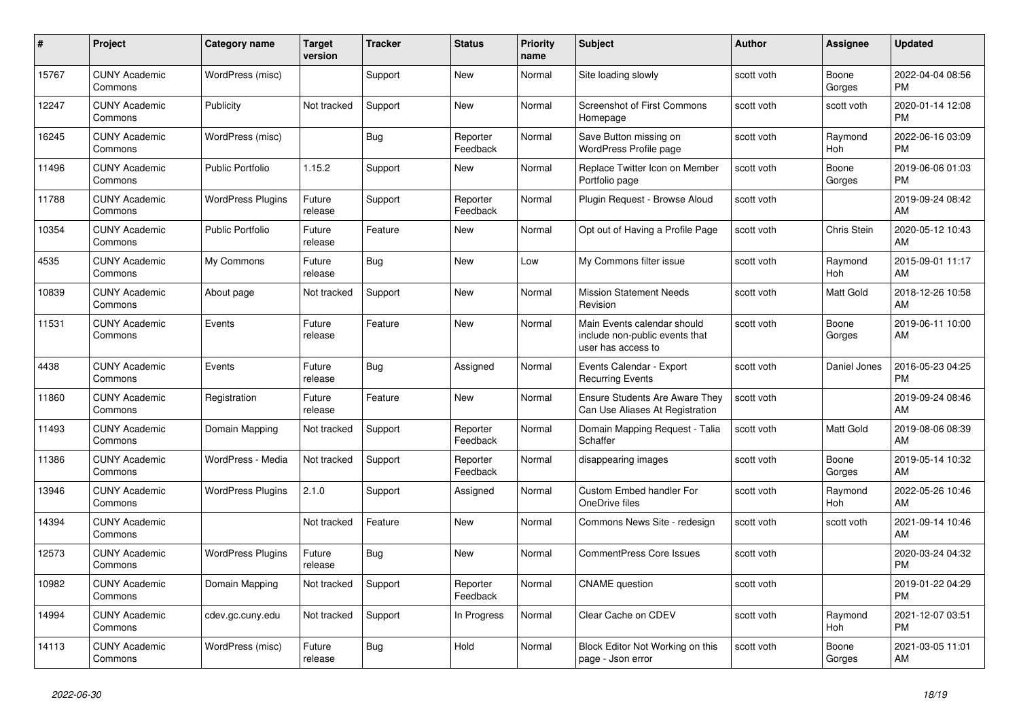| #     | Project                         | Category name            | <b>Target</b><br>version | <b>Tracker</b> | <b>Status</b>        | Priority<br>name | <b>Subject</b>                                                                      | <b>Author</b> | <b>Assignee</b>    | <b>Updated</b>                |
|-------|---------------------------------|--------------------------|--------------------------|----------------|----------------------|------------------|-------------------------------------------------------------------------------------|---------------|--------------------|-------------------------------|
| 15767 | <b>CUNY Academic</b><br>Commons | WordPress (misc)         |                          | Support        | New                  | Normal           | Site loading slowly                                                                 | scott voth    | Boone<br>Gorges    | 2022-04-04 08:56<br><b>PM</b> |
| 12247 | <b>CUNY Academic</b><br>Commons | Publicity                | Not tracked              | Support        | <b>New</b>           | Normal           | <b>Screenshot of First Commons</b><br>Homepage                                      | scott voth    | scott voth         | 2020-01-14 12:08<br><b>PM</b> |
| 16245 | <b>CUNY Academic</b><br>Commons | WordPress (misc)         |                          | Bug            | Reporter<br>Feedback | Normal           | Save Button missing on<br><b>WordPress Profile page</b>                             | scott voth    | Raymond<br>Hoh     | 2022-06-16 03:09<br><b>PM</b> |
| 11496 | <b>CUNY Academic</b><br>Commons | Public Portfolio         | 1.15.2                   | Support        | New                  | Normal           | Replace Twitter Icon on Member<br>Portfolio page                                    | scott voth    | Boone<br>Gorges    | 2019-06-06 01:03<br><b>PM</b> |
| 11788 | <b>CUNY Academic</b><br>Commons | <b>WordPress Plugins</b> | Future<br>release        | Support        | Reporter<br>Feedback | Normal           | Plugin Request - Browse Aloud                                                       | scott voth    |                    | 2019-09-24 08:42<br>AM        |
| 10354 | <b>CUNY Academic</b><br>Commons | <b>Public Portfolio</b>  | Future<br>release        | Feature        | New                  | Normal           | Opt out of Having a Profile Page                                                    | scott voth    | <b>Chris Stein</b> | 2020-05-12 10:43<br>AM        |
| 4535  | <b>CUNY Academic</b><br>Commons | My Commons               | Future<br>release        | Bug            | New                  | Low              | My Commons filter issue                                                             | scott voth    | Raymond<br>Hoh     | 2015-09-01 11:17<br>AM        |
| 10839 | <b>CUNY Academic</b><br>Commons | About page               | Not tracked              | Support        | New                  | Normal           | <b>Mission Statement Needs</b><br>Revision                                          | scott voth    | Matt Gold          | 2018-12-26 10:58<br>AM        |
| 11531 | <b>CUNY Academic</b><br>Commons | Events                   | Future<br>release        | Feature        | <b>New</b>           | Normal           | Main Events calendar should<br>include non-public events that<br>user has access to | scott voth    | Boone<br>Gorges    | 2019-06-11 10:00<br>AM        |
| 4438  | <b>CUNY Academic</b><br>Commons | Events                   | Future<br>release        | Bug            | Assigned             | Normal           | Events Calendar - Export<br><b>Recurring Events</b>                                 | scott voth    | Daniel Jones       | 2016-05-23 04:25<br><b>PM</b> |
| 11860 | <b>CUNY Academic</b><br>Commons | Registration             | Future<br>release        | Feature        | New                  | Normal           | <b>Ensure Students Are Aware They</b><br>Can Use Aliases At Registration            | scott voth    |                    | 2019-09-24 08:46<br>AM        |
| 11493 | <b>CUNY Academic</b><br>Commons | Domain Mapping           | Not tracked              | Support        | Reporter<br>Feedback | Normal           | Domain Mapping Request - Talia<br>Schaffer                                          | scott voth    | Matt Gold          | 2019-08-06 08:39<br>AM        |
| 11386 | <b>CUNY Academic</b><br>Commons | WordPress - Media        | Not tracked              | Support        | Reporter<br>Feedback | Normal           | disappearing images                                                                 | scott voth    | Boone<br>Gorges    | 2019-05-14 10:32<br>AM        |
| 13946 | <b>CUNY Academic</b><br>Commons | <b>WordPress Plugins</b> | 2.1.0                    | Support        | Assigned             | Normal           | Custom Embed handler For<br>OneDrive files                                          | scott voth    | Raymond<br>Hoh     | 2022-05-26 10:46<br>AM        |
| 14394 | <b>CUNY Academic</b><br>Commons |                          | Not tracked              | Feature        | New                  | Normal           | Commons News Site - redesign                                                        | scott voth    | scott voth         | 2021-09-14 10:46<br>AM        |
| 12573 | <b>CUNY Academic</b><br>Commons | <b>WordPress Plugins</b> | Future<br>release        | Bug            | <b>New</b>           | Normal           | <b>CommentPress Core Issues</b>                                                     | scott voth    |                    | 2020-03-24 04:32<br><b>PM</b> |
| 10982 | <b>CUNY Academic</b><br>Commons | Domain Mapping           | Not tracked              | Support        | Reporter<br>Feedback | Normal           | <b>CNAME</b> question                                                               | scott voth    |                    | 2019-01-22 04:29<br><b>PM</b> |
| 14994 | <b>CUNY Academic</b><br>Commons | cdev.gc.cuny.edu         | Not tracked              | Support        | In Progress          | Normal           | Clear Cache on CDEV                                                                 | scott voth    | Raymond<br>Hoh     | 2021-12-07 03:51<br><b>PM</b> |
| 14113 | <b>CUNY Academic</b><br>Commons | WordPress (misc)         | Future<br>release        | Bug            | Hold                 | Normal           | Block Editor Not Working on this<br>page - Json error                               | scott voth    | Boone<br>Gorges    | 2021-03-05 11:01<br>AM        |